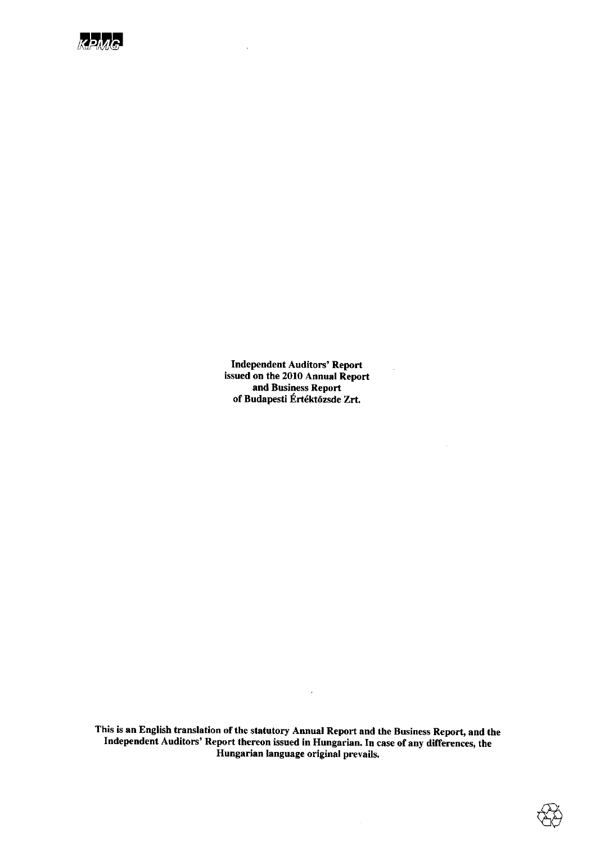

**Independent Auditors' Report** issued on the 2010 Annual Report and Business Report of Budapesti Értéktőzsde Zrt.

This is an English translation of the statutory Annual Report and the Business Report, and the Independent Auditors' Report thereon issued in Hungarian. In case of any differences, the Hungarian language original prevails.

 $\hat{\mathcal{A}}$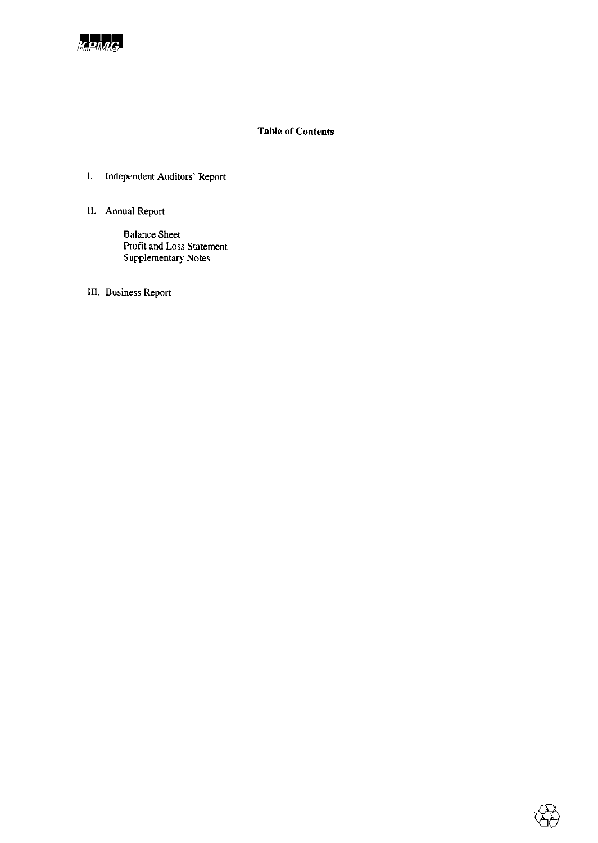

# **Table of Contents**

- I. Independent Auditors' Report
- II. Annual Report

**Balance Sheet** Profit and Loss Statement Supplementary Notes

III. Business Report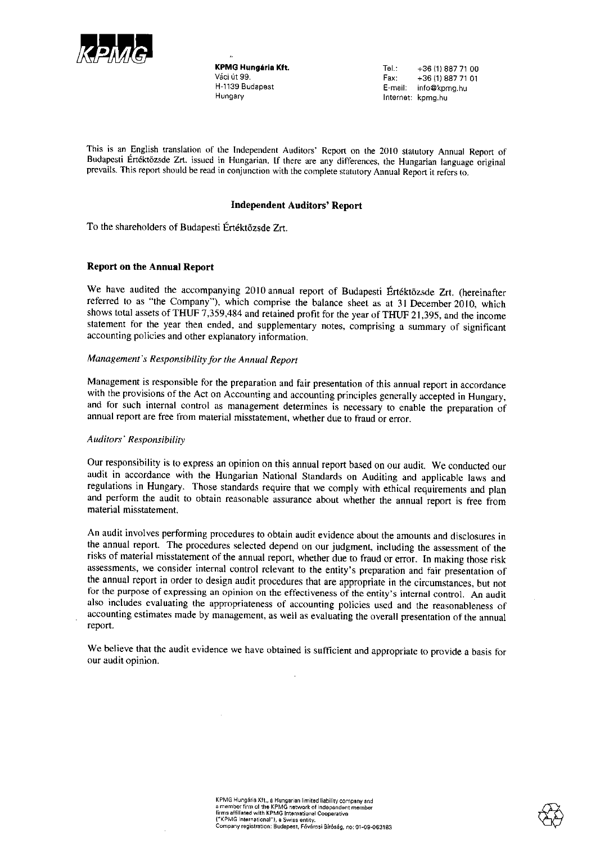

**KPMG Hungária Kft.** Váci út 99. H-1139 Budapest Hungary

Tel.: +36 (1) 887 71 00 Fax: +36 (1) 887 71 01 E-mail: info@kpmg.hu Internet: kpmg.hu

This is an English translation of the Independent Auditors' Report on the 2010 statutory Annual Report of Budapesti Értéktözsde Zrt. issued in Hungarian. If there are any differences, the Hungarian language original prevails. This report should be read in conjunction with the complete statutory Annual Report it refers to.

#### **Independent Auditors' Report**

To the shareholders of Budapesti Értéktőzsde Zrt.

#### **Report on the Annual Report**

We have audited the accompanying 2010 annual report of Budapesti Értéktőzsde Zrt. (hereinafter referred to as "the Company"), which comprise the balance sheet as at 31 December 2010, which shows total assets of THUF 7,359,484 and retained profit for the year of THUF 21,395, and the income statement for the year then ended, and supplementary notes, comprising a summary of significant accounting policies and other explanatory information.

#### Management's Responsibility for the Annual Report

Management is responsible for the preparation and fair presentation of this annual report in accordance with the provisions of the Act on Accounting and accounting principles generally accepted in Hungary, and for such internal control as management determines is necessary to enable the preparation of annual report are free from material misstatement, whether due to fraud or error.

#### Auditors' Responsibility

Our responsibility is to express an opinion on this annual report based on our audit. We conducted our audit in accordance with the Hungarian National Standards on Auditing and applicable laws and regulations in Hungary. Those standards require that we comply with ethical requirements and plan and perform the audit to obtain reasonable assurance about whether the annual report is free from material misstatement.

An audit involves performing procedures to obtain audit evidence about the amounts and disclosures in the annual report. The procedures selected depend on our judgment, including the assessment of the risks of material misstatement of the annual report, whether due to fraud or error. In making those risk assessments, we consider internal control relevant to the entity's preparation and fair presentation of the annual report in order to design audit procedures that are appropriate in the circumstances, but not for the purpose of expressing an opinion on the effectiveness of the entity's internal control. An audit also includes evaluating the appropriateness of accounting policies used and the reasonableness of accounting estimates made by management, as well as evaluating the overall presentation of the annual report.

We believe that the audit evidence we have obtained is sufficient and appropriate to provide a basis for our audit opinion.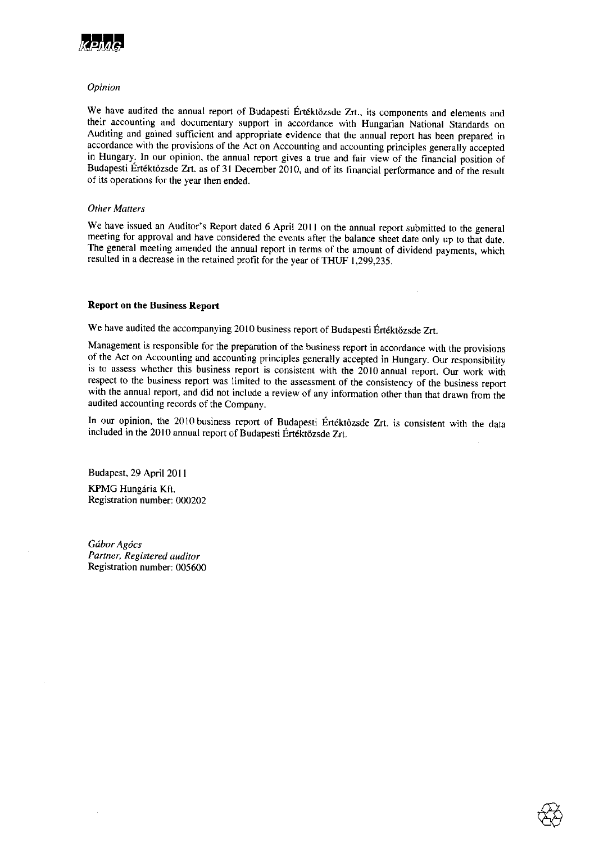

#### Opinion

We have audited the annual report of Budapesti Értéktőzsde Zrt., its components and elements and their accounting and documentary support in accordance with Hungarian National Standards on Auditing and gained sufficient and appropriate evidence that the annual report has been prepared in accordance with the provisions of the Act on Accounting and accounting principles generally accepted in Hungary. In our opinion, the annual report gives a true and fair view of the financial position of Budapesti Értéktözsde Zrt. as of 31 December 2010, and of its financial performance and of the result of its operations for the year then ended.

#### **Other Matters**

We have issued an Auditor's Report dated 6 April 2011 on the annual report submitted to the general meeting for approval and have considered the events after the balance sheet date only up to that date. The general meeting amended the annual report in terms of the amount of dividend payments, which resulted in a decrease in the retained profit for the year of THUF 1,299,235.

#### **Report on the Business Report**

We have audited the accompanying 2010 business report of Budapesti Értéktőzsde Zrt.

Management is responsible for the preparation of the business report in accordance with the provisions of the Act on Accounting and accounting principles generally accepted in Hungary. Our responsibility is to assess whether this business report is consistent with the 2010 annual report. Our work with respect to the business report was limited to the assessment of the consistency of the business report with the annual report, and did not include a review of any information other than that drawn from the audited accounting records of the Company.

In our opinion, the 2010 business report of Budapesti Értéktőzsde Zrt. is consistent with the data included in the 2010 annual report of Budapesti Értéktőzsde Zrt.

Budapest, 29 April 2011 KPMG Hungária Kft. Registration number: 000202

Gábor Agócs Partner, Registered auditor Registration number: 005600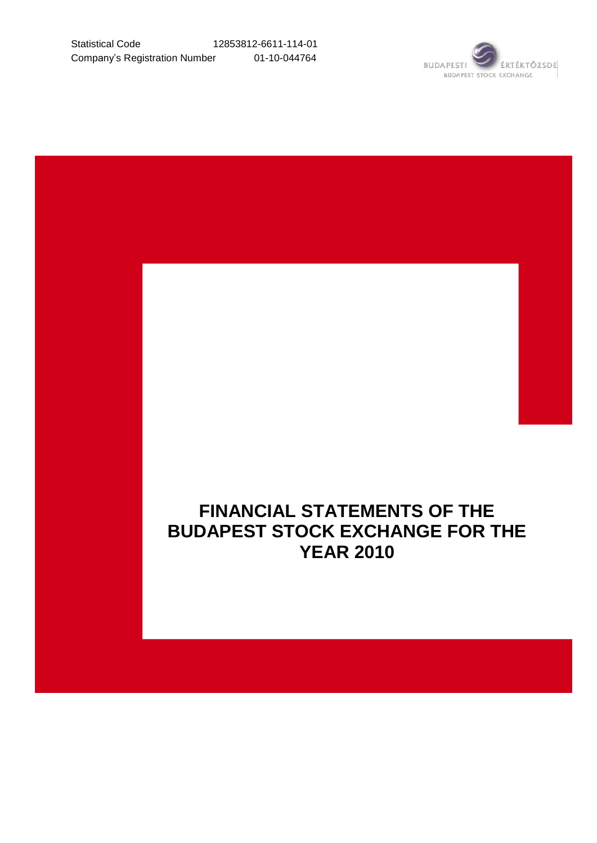

# **FINANCIAL STATEMENTS OF THE BUDAPEST STOCK EXCHANGE FOR THE YEAR 2010**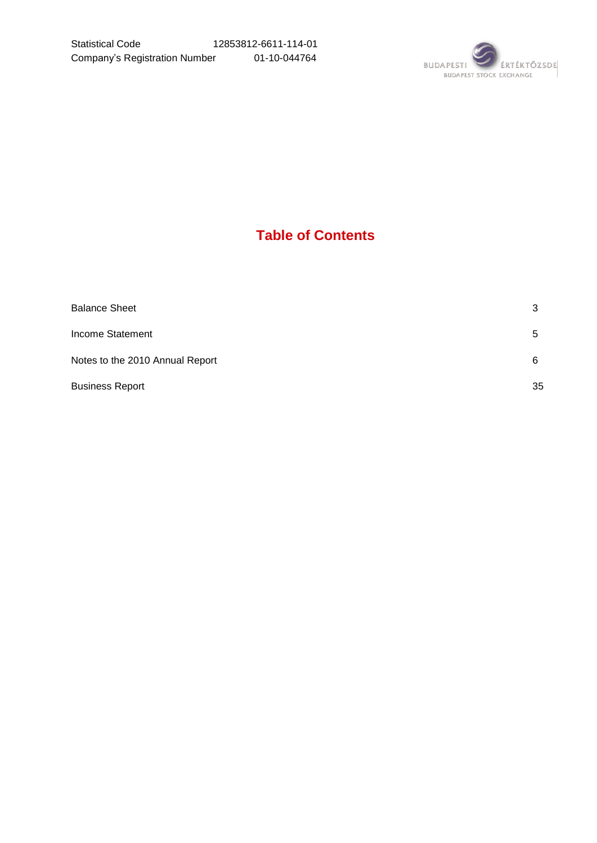

# **Table of Contents**

| 3  |
|----|
| 5  |
| 6  |
| 35 |
|    |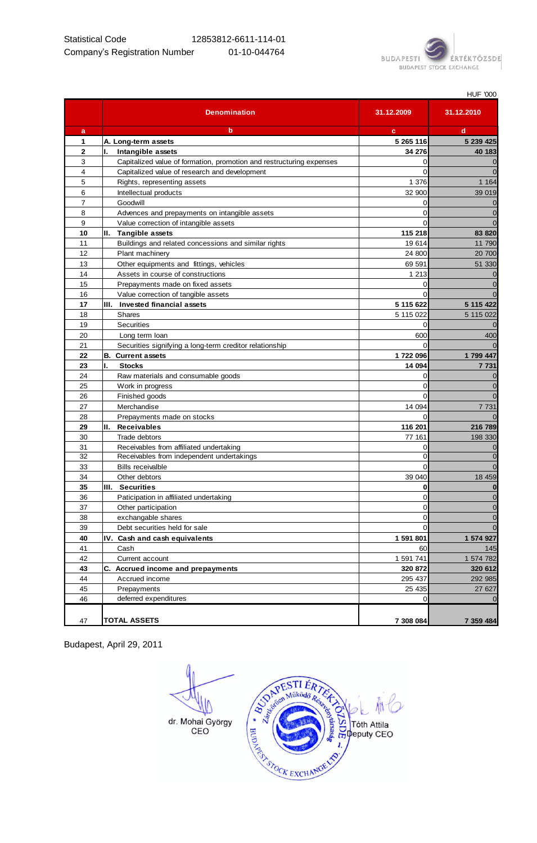

|                |                                                                      |                | <b>HUF '000</b>  |
|----------------|----------------------------------------------------------------------|----------------|------------------|
|                | <b>Denomination</b>                                                  | 31.12.2009     | 31.12.2010       |
| a              | b                                                                    | c              | d                |
| 1              | A. Long-term assets                                                  | 5 265 116      | 5 239 4 25       |
| $\overline{2}$ | Intangible assets                                                    | 34 276         | 40 183           |
| 3              | Capitalized value of formation, promotion and restructuring expenses | 0              | $\boldsymbol{0}$ |
| 4              | Capitalized value of research and development                        | $\Omega$       | $\overline{0}$   |
| 5              | Rights, representing assets                                          | 1 376          | 1 1 6 4          |
| 6              | Intellectual products                                                | 32 900         | 39 019           |
| $\overline{7}$ | Goodwill                                                             | 0              | $\mathbf 0$      |
| 8              | Advences and prepayments on intangible assets                        | $\Omega$       | $\overline{0}$   |
| 9              | Value correction of intangible assets                                | $\Omega$       | $\overline{0}$   |
| 10             | II. Tangible assets                                                  | 115 218        | 83 820           |
| 11             | Buildings and related concessions and similar rights                 | 19614          | 11 790           |
| 12             | Plant machinery                                                      | 24 800         | 20 700           |
| 13             | Other equipments and fittings, vehicles                              | 69 591         | 51 330           |
| 14             | Assets in course of constructions                                    | 1 2 1 3        | $\mathbf 0$      |
| 15             | Prepayments made on fixed assets                                     | 0              | $\mathbf 0$      |
| 16             | Value correction of tangible assets                                  | $\Omega$       | $\overline{0}$   |
| 17             | III. Invested financial assets                                       | 5 115 622      | 5 115 422        |
| 18             | <b>Shares</b>                                                        | 5 115 022      | 5 115 022        |
| 19             | Securities                                                           | 0              | $\mathbf 0$      |
| 20             | Long term loan                                                       | 600            | 400              |
| 21             | Securities signifying a long-term creditor relationship              | $\Omega$       | $\overline{0}$   |
| 22             | <b>B.</b> Current assets                                             | 1722 096       | 1 799 447        |
| 23             | Ι.<br><b>Stocks</b>                                                  | 14 094         | 7 731            |
| 24             | Raw materials and consumable goods                                   | $\Omega$       | $\mathbf 0$      |
| 25             | Work in progress                                                     | $\Omega$       | $\mathbf 0$      |
| 26             | Finished goods                                                       | $\Omega$       | $\Omega$         |
| 27             | Merchandise                                                          | 14 094         | 7 731            |
| 28             | Prepayments made on stocks                                           | $\Omega$       | $\Omega$         |
| 29             | II. Receivables                                                      | 116 201        | 216 789          |
| 30             | Trade debtors                                                        | 77 161         | 198 330          |
| 31             | Receivables from affiliated undertaking                              | 0              | $\mathbf 0$      |
| 32             | Receivables from independent undertakings                            | $\Omega$       | $\mathbf 0$      |
| 33             | <b>Bills receivalble</b>                                             | $\Omega$       | $\overline{0}$   |
| 34             | Other debtors                                                        | 39 040         | 18 459           |
| 35             | III. Securities                                                      | $\mathbf 0$    | $\bf{0}$         |
| 36             | Paticipation in affiliated undertaking                               | $\overline{0}$ | $\mathbf 0$      |
| 37             | Other participation                                                  | $\mathbf 0$    | $\mathbf 0$      |
| 38             | exchangable shares                                                   | $\mathbf 0$    | $\mathbf 0$      |
| 39             | Debt securities held for sale                                        | $\mathbf 0$    | $\mathbf 0$      |
| 40             | IV. Cash and cash equivalents                                        | 1 591 801      | 1 574 927        |
| 41             | Cash                                                                 | 60             | 145              |
| 42             | Current account                                                      | 1 591 741      | 1 574 782        |
| 43             | C. Accrued income and prepayments                                    | 320 872        | 320 612          |
| 44             | Accrued income                                                       | 295 437        | 292 985          |
| 45             | Prepayments                                                          | 25 4 35        | 27 627           |
| 46             | deferred expenditures                                                | $\mathbf 0$    | $\mathbf 0$      |
|                |                                                                      |                |                  |
| 47             | <b>TOTAL ASSETS</b>                                                  | 7 308 084      | 7 359 484        |

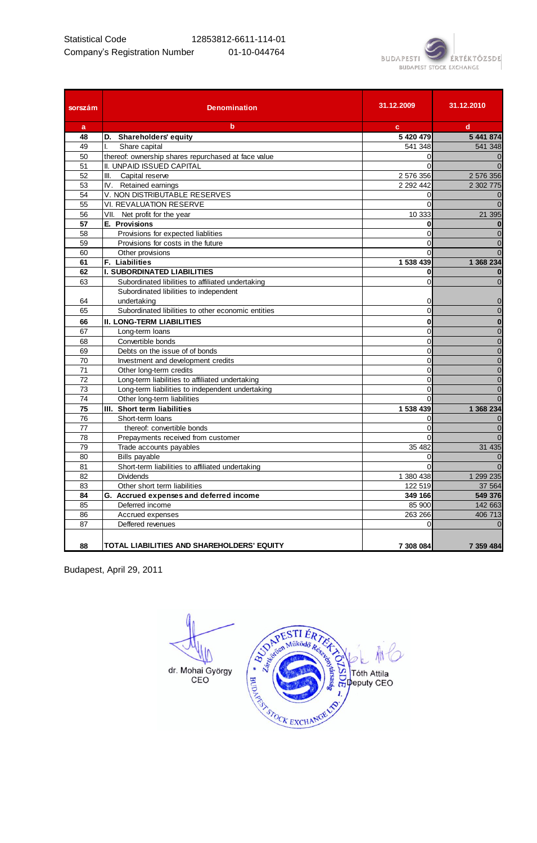

| sorszám | <b>Denomination</b>                                 | 31.12.2009     | 31.12.2010     |
|---------|-----------------------------------------------------|----------------|----------------|
| a       | $\mathbf b$                                         | c.             | $\mathbf d$    |
| 48      | D. Shareholders' equity                             | 5 420 479      | 5 441 874      |
| 49      | Share capital<br>I.                                 | 541 348        | 541 348        |
| 50      | thereof: ownership shares repurchased at face value | $\Omega$       | $\overline{0}$ |
| 51      | II. UNPAID ISSUED CAPITAL                           | $\Omega$       | $\overline{0}$ |
| 52      | III. Capital reserve                                | 2 576 356      | 2 576 356      |
| 53      | IV. Retained earnings                               | 2 2 9 2 4 4 2  | 2 302 775      |
| 54      | V. NON DISTRIBUTABLE RESERVES                       | $\Omega$       | $\mathbf 0$    |
| 55      | <b>VI. REVALUATION RESERVE</b>                      | $\Omega$       | $\Omega$       |
| 56      | VII. Net profit for the year                        | 10 333         | 21 395         |
| 57      | E. Provisions                                       | 0              | $\bf{0}$       |
| 58      | Provisions for expected liablities                  | $\overline{0}$ | $\mathbf 0$    |
| 59      | Provisions for costs in the future                  | $\Omega$       | $\mathbf 0$    |
| 60      | Other provisions                                    | $\Omega$       | $\mathbf 0$    |
| 61      | F. Liabilities                                      | 1 538 439      | 1 368 234      |
| 62      | <b>I. SUBORDINATED LIABILITIES</b>                  | 0              | $\bf{0}$       |
| 63      | Subordinated libilities to affiliated undertaking   | $\overline{0}$ | $\overline{0}$ |
|         | Subordinated libilities to independent              |                |                |
| 64      | undertaking                                         | 0              | $\overline{0}$ |
| 65      | Subordinated libilities to other economic entities  | $\overline{0}$ | $\mathbf 0$    |
| 66      | <b>II. LONG-TERM LIABILITIES</b>                    | $\mathbf 0$    | $\bf{0}$       |
| 67      | Long-term loans                                     | $\overline{0}$ | $\overline{0}$ |
| 68      | Convertible bonds                                   | $\Omega$       | $\overline{0}$ |
| 69      | Debts on the issue of of bonds                      | $\overline{0}$ | $\mathbf 0$    |
| 70      | Investment and development credits                  | $\overline{0}$ | $\overline{0}$ |
| 71      | Other long-term credits                             | 0              | $\overline{0}$ |
| 72      | Long-term liabilities to affiliated undertaking     | $\overline{0}$ | $\mathbf 0$    |
| 73      | Long-term liabilities to independent undertaking    | $\overline{0}$ | $\mathbf 0$    |
| 74      | Other long-term liabilities                         | $\Omega$       | $\overline{0}$ |
| 75      | III. Short term liabilities                         | 1 538 439      | 1 368 234      |
| 76      | Short-term loans                                    | 0              | $\overline{0}$ |
| 77      | thereof: convertible bonds                          | $\Omega$       | $\mathbf 0$    |
| 78      | Prepayments received from customer                  | $\overline{0}$ | $\mathbf 0$    |
| 79      | Trade accounts payables                             | 35 482         | 31 4 35        |
| 80      | <b>Bills payable</b>                                | 0              | $\overline{0}$ |
| 81      | Short-term liabilities to affiliated undertaking    | $\Omega$       | $\Omega$       |
| 82      | <b>Dividends</b>                                    | 1 380 438      | 1 299 235      |
| 83      | Other short term liabilities                        | 122 519        | 37 564         |
| 84      | G. Accrued expenses and deferred income             | 349 166        | 549 376        |
| 85      | Deferred income                                     | 85 900         | 142 663        |
| 86      | Accrued expenses                                    | 263 266        | 406 713        |
| 87      | Deffered revenues                                   | $\Omega$       | $\overline{0}$ |
| 88      | TOTAL LIABILITIES AND SHAREHOLDERS' EQUITY          | 7 308 084      | 7 359 484      |

A SO APESTIER TANKOLO AND RESERVED TO THE ALL ON THE RESERVED ON THE ALL OF THE ALL OF THE ALL OF THE ALL OF THE ALL OF THE ALL OF THE ALL OF THE ALL OF THE ALL OF THE ALL OF THE ALL OF THE ALL OF THE ALL OF THE ALL OF THE dr. Mohai György<br>CEO A REACHANGE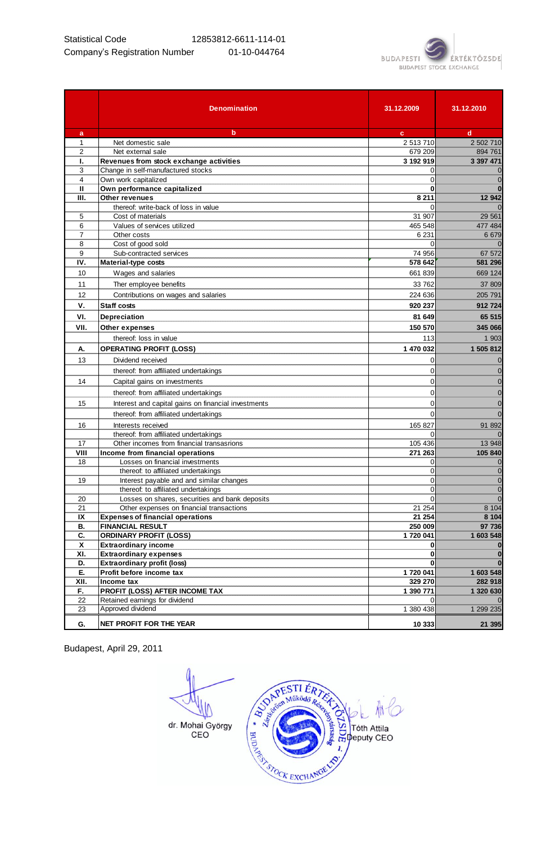

|                | <b>Denomination</b>                                 | 31.12.2009           | 31.12.2010           |
|----------------|-----------------------------------------------------|----------------------|----------------------|
| a              | b                                                   | c                    | d                    |
| 1              | Net domestic sale                                   | 2 513 710            | 2 502 710            |
| $\overline{2}$ | Net external sale                                   | 679 209              | 894 761              |
| Ι.             | Revenues from stock exchange activities             | 3 192 919            | 3 397 471            |
| 3              | Change in self-manufactured stocks                  | 0                    | 0                    |
| 4              | Own work capitalized                                | $\Omega$             | $\mathbf 0$          |
| Ш              | Own performance capitalized                         | 0                    | $\bf{0}$             |
| Ш.             | Other revenues                                      | 8 2 1 1              | 12 942               |
|                | thereof: write-back of loss in value                |                      | $\mathbf 0$          |
| 5              | Cost of materials                                   | 31 907               | 29 5 61              |
| 6<br>7         | Values of services utilized                         | 465 548<br>6 2 31    | 477 484              |
| 8              | Other costs<br>Cost of good sold                    | $\Omega$             | 6679<br>$\Omega$     |
| 9              | Sub-contracted services                             | 74 956               | 67 572               |
| IV.            | <b>Material-type costs</b>                          | 578 642              | 581 296              |
| 10             | Wages and salaries                                  |                      |                      |
|                |                                                     | 661839               | 669 124              |
| 11             | Ther employee benefits                              | 33 762               | 37 809               |
| 12             | Contributions on wages and salaries                 | 224 636              | 205 791              |
| ν.             | <b>Staff costs</b>                                  | 920 237              | 912724               |
| VI.            | Depreciation                                        | 81 649               | 65 515               |
| VII.           | Other expenses                                      | 150 570              | 345 066              |
|                | thereof: loss in value                              | 113                  | 1 903                |
| А.             | <b>OPERATING PROFIT (LOSS)</b>                      | 1 470 032            | 1 505 812            |
| 13             | Dividend received                                   | 0                    | $\mathbf 0$          |
|                | thereof: from affiliated undertakings               | 0                    | $\mathbf 0$          |
| 14             | Capital gains on investments                        | 0                    | $\mathbf 0$          |
|                | thereof: from affiliated undertakings               | 0                    | $\mathbf 0$          |
| 15             | Interest and capital gains on financial investments | 0                    | $\mathbf 0$          |
|                | thereof: from affiliated undertakings               | 0                    | $\mathbf 0$          |
| 16             | Interests received                                  | 165 827              | 91 892               |
|                | thereof: from affiliated undertakings               | 0                    | $\mathbf 0$          |
| 17             | Other incomes from financial transasrions           | 105 436              | 13 948               |
| VIII           | Income from financial operations                    | 271 263              | 105 840              |
| 18             | Losses on financial investments                     | 0                    | $\mathbf 0$          |
|                | thereof: to affiliated undertakings                 | 0                    | $\boldsymbol{0}$     |
| 19             | Interest payable and and similar changes            | 0                    | $\mathbf 0$          |
|                | thereof: to affiliated undertakings                 | 0                    | $\mathbf 0$          |
| 20             | Losses on shares, securities and bank deposits      |                      | $\pmb{0}$            |
| 21             | Other expenses on financial transactions            | 21 254               | 8 1 0 4              |
| IX             | <b>Expenses of financial operations</b>             | 21 254               | 8 1 0 4              |
| В.             | <b>FINANCIAL RESULT</b>                             | 250 009              | 97 736               |
| C.             | <b>ORDINARY PROFIT (LOSS)</b>                       | 1720 041             | 1 603 548            |
| X              | <b>Extraordinary income</b>                         | 0                    | $\bf{0}$             |
| XI.            | <b>Extraordinary expenses</b>                       | 0                    | $\bf{0}$             |
| D.             | <b>Extraordinary profit (loss)</b>                  |                      | $\bf{0}$             |
| Е.             | Profit before income tax                            | 1720 041             | 1 603 548            |
| XII.<br>F.     | Income tax<br>PROFIT (LOSS) AFTER INCOME TAX        | 329 270<br>1 390 771 | 282 918<br>1 320 630 |
| 22             | Retained earnings for dividend                      | $\Omega$             | $\mathbf 0$          |
| 23             | Approved dividend                                   | 1 380 438            | 1 299 235            |
|                |                                                     |                      |                      |
| G.             | NET PROFIT FOR THE YEAR                             | 10 333               | 21 395               |

ESTIERTERTERT ⋔ dr. Mohai György<br>CEO A REACHANGE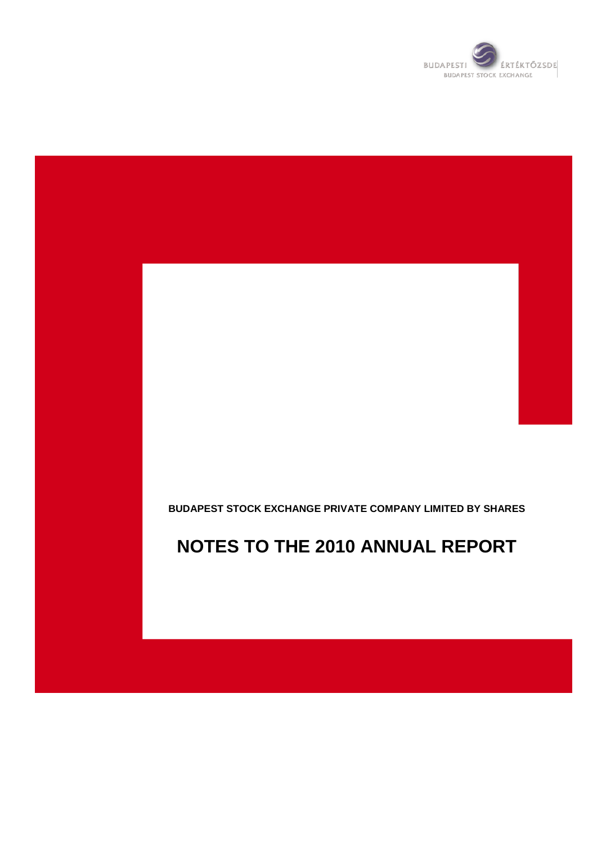

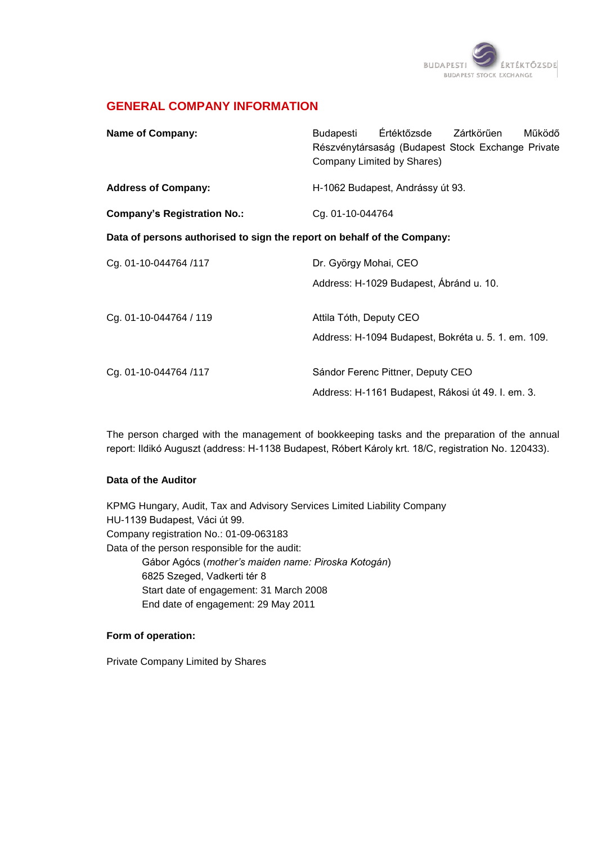

# **GENERAL COMPANY INFORMATION**

| <b>Name of Company:</b>                                                 | Értéktőzsde Zártkörűen<br>Budapesti<br>Működő<br>Részvénytársaság (Budapest Stock Exchange Private<br>Company Limited by Shares) |
|-------------------------------------------------------------------------|----------------------------------------------------------------------------------------------------------------------------------|
| <b>Address of Company:</b>                                              | H-1062 Budapest, Andrássy út 93.                                                                                                 |
| <b>Company's Registration No.:</b>                                      | Cg. 01-10-044764                                                                                                                 |
| Data of persons authorised to sign the report on behalf of the Company: |                                                                                                                                  |
| Cg. 01-10-044764 /117                                                   | Dr. György Mohai, CEO                                                                                                            |
|                                                                         | Address: H-1029 Budapest, Ábránd u. 10.                                                                                          |
| Cg. 01-10-044764 / 119                                                  | Attila Tóth, Deputy CEO                                                                                                          |
|                                                                         | Address: H-1094 Budapest, Bokréta u. 5. 1. em. 109.                                                                              |
| Cg. 01-10-044764 /117                                                   | Sándor Ferenc Pittner, Deputy CEO                                                                                                |
|                                                                         | Address: H-1161 Budapest, Rákosi út 49. I. em. 3.                                                                                |

The person charged with the management of bookkeeping tasks and the preparation of the annual report: Ildikó Auguszt (address: H-1138 Budapest, Róbert Károly krt. 18/C, registration No. 120433).

#### **Data of the Auditor**

KPMG Hungary, Audit, Tax and Advisory Services Limited Liability Company HU-1139 Budapest, Váci út 99. Company registration No.: 01-09-063183 Data of the person responsible for the audit: Gábor Agócs (*mother's maiden name: Piroska Kotogán*) 6825 Szeged, Vadkerti tér 8 Start date of engagement: 31 March 2008 End date of engagement: 29 May 2011

#### **Form of operation:**

Private Company Limited by Shares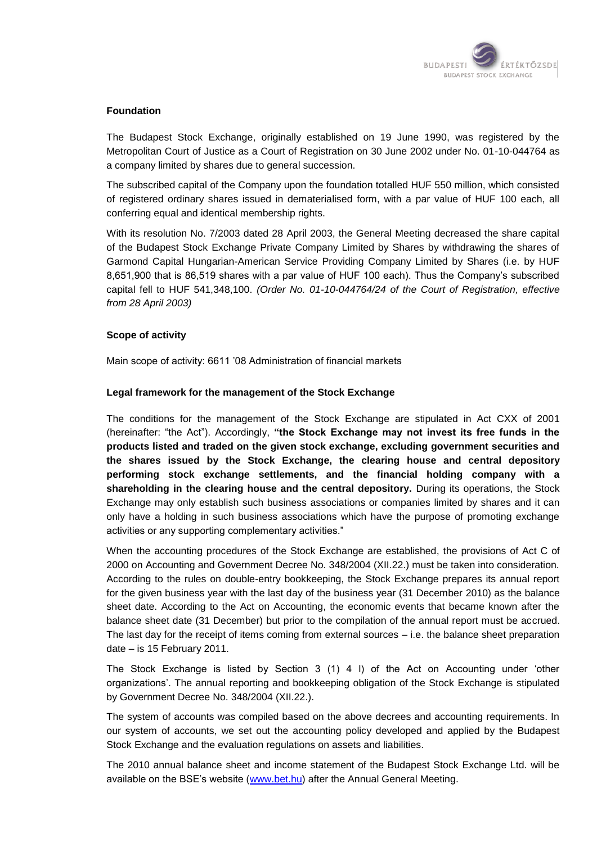

#### **Foundation**

The Budapest Stock Exchange, originally established on 19 June 1990, was registered by the Metropolitan Court of Justice as a Court of Registration on 30 June 2002 under No. 01-10-044764 as a company limited by shares due to general succession.

The subscribed capital of the Company upon the foundation totalled HUF 550 million, which consisted of registered ordinary shares issued in dematerialised form, with a par value of HUF 100 each, all conferring equal and identical membership rights.

With its resolution No. 7/2003 dated 28 April 2003, the General Meeting decreased the share capital of the Budapest Stock Exchange Private Company Limited by Shares by withdrawing the shares of Garmond Capital Hungarian-American Service Providing Company Limited by Shares (i.e. by HUF 8,651,900 that is 86,519 shares with a par value of HUF 100 each). Thus the Company"s subscribed capital fell to HUF 541,348,100. *(Order No. 01-10-044764/24 of the Court of Registration, effective from 28 April 2003)*

#### **Scope of activity**

Main scope of activity: 6611 "08 Administration of financial markets

#### **Legal framework for the management of the Stock Exchange**

The conditions for the management of the Stock Exchange are stipulated in Act CXX of 2001 (hereinafter: "the Act"). Accordingly, **"the Stock Exchange may not invest its free funds in the products listed and traded on the given stock exchange, excluding government securities and the shares issued by the Stock Exchange, the clearing house and central depository performing stock exchange settlements, and the financial holding company with a shareholding in the clearing house and the central depository.** During its operations, the Stock Exchange may only establish such business associations or companies limited by shares and it can only have a holding in such business associations which have the purpose of promoting exchange activities or any supporting complementary activities."

When the accounting procedures of the Stock Exchange are established, the provisions of Act C of 2000 on Accounting and Government Decree No. 348/2004 (XII.22.) must be taken into consideration. According to the rules on double-entry bookkeeping, the Stock Exchange prepares its annual report for the given business year with the last day of the business year (31 December 2010) as the balance sheet date. According to the Act on Accounting, the economic events that became known after the balance sheet date (31 December) but prior to the compilation of the annual report must be accrued. The last day for the receipt of items coming from external sources – i.e. the balance sheet preparation date – is 15 February 2011.

The Stock Exchange is listed by Section 3 (1) 4 l) of the Act on Accounting under "other organizations". The annual reporting and bookkeeping obligation of the Stock Exchange is stipulated by Government Decree No. 348/2004 (XII.22.).

The system of accounts was compiled based on the above decrees and accounting requirements. In our system of accounts, we set out the accounting policy developed and applied by the Budapest Stock Exchange and the evaluation regulations on assets and liabilities.

The 2010 annual balance sheet and income statement of the Budapest Stock Exchange Ltd. will be available on the BSE"s website [\(www.bet.hu\)](http://www.bet.hu/) after the Annual General Meeting.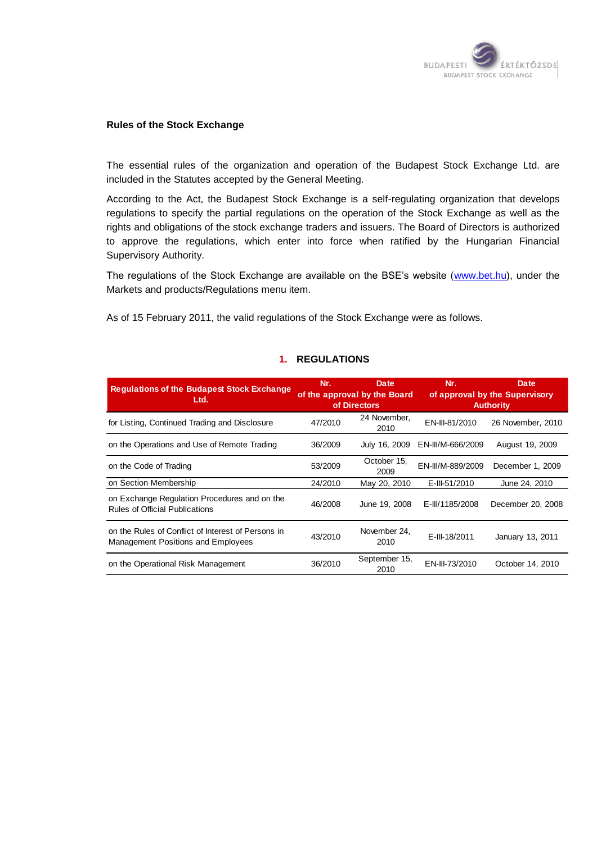

#### **Rules of the Stock Exchange**

The essential rules of the organization and operation of the Budapest Stock Exchange Ltd. are included in the Statutes accepted by the General Meeting.

According to the Act, the Budapest Stock Exchange is a self-regulating organization that develops regulations to specify the partial regulations on the operation of the Stock Exchange as well as the rights and obligations of the stock exchange traders and issuers. The Board of Directors is authorized to approve the regulations, which enter into force when ratified by the Hungarian Financial Supervisory Authority.

The regulations of the Stock Exchange are available on the BSE's website [\(www.bet.hu\)](http://www.bet.hu/), under the Markets and products/Regulations menu item.

As of 15 February 2011, the valid regulations of the Stock Exchange were as follows.

# **1. REGULATIONS**

| <b>Regulations of the Budapest Stock Exchange</b><br>Ltd.                                       | Nr.     | Date<br>of the approval by the Board<br>of Directors | Nr.               | Date<br>of approval by the Supervisory<br><b>Authority</b> |
|-------------------------------------------------------------------------------------------------|---------|------------------------------------------------------|-------------------|------------------------------------------------------------|
| for Listing, Continued Trading and Disclosure                                                   | 47/2010 | 24 November,<br>2010                                 | EN-III-81/2010    | 26 November, 2010                                          |
| on the Operations and Use of Remote Trading                                                     | 36/2009 | July 16, 2009                                        | EN-III/M-666/2009 | August 19, 2009                                            |
| on the Code of Trading                                                                          | 53/2009 | October 15,<br>2009                                  | EN-III/M-889/2009 | December 1, 2009                                           |
| on Section Membership                                                                           | 24/2010 | May 20, 2010                                         | E-III-51/2010     | June 24, 2010                                              |
| on Exchange Regulation Procedures and on the<br><b>Rules of Official Publications</b>           | 46/2008 | June 19, 2008                                        | E-III/1185/2008   | December 20, 2008                                          |
| on the Rules of Conflict of Interest of Persons in<br><b>Management Positions and Employees</b> | 43/2010 | November 24.<br>2010                                 | E-III-18/2011     | January 13, 2011                                           |
| on the Operational Risk Management                                                              | 36/2010 | September 15,<br>2010                                | EN-III-73/2010    | October 14, 2010                                           |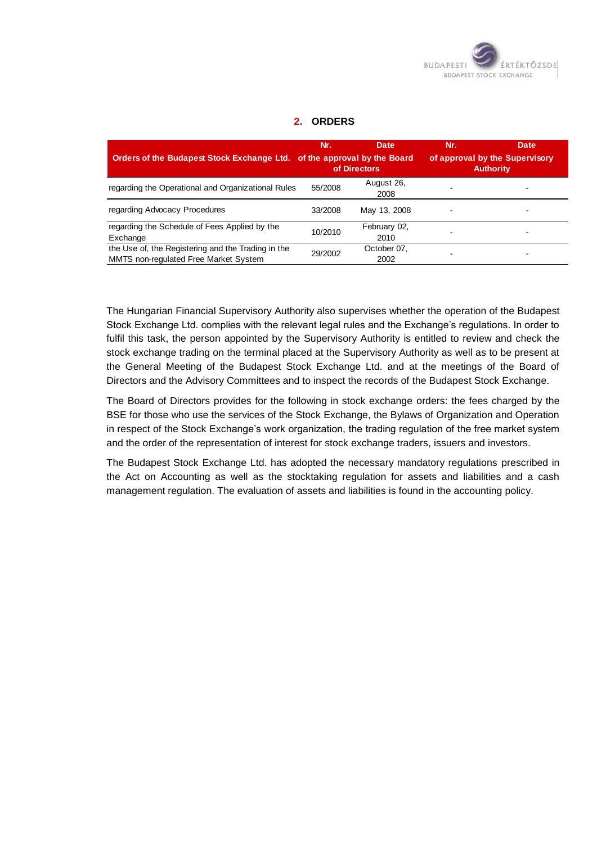

#### **2. ORDERS**

| Orders of the Budapest Stock Exchange Ltd. of the approval by the Board                            | Nr.     | Date<br>of Directors | Nr. | Date<br>of approval by the Supervisory<br><b>Authority</b> |
|----------------------------------------------------------------------------------------------------|---------|----------------------|-----|------------------------------------------------------------|
| regarding the Operational and Organizational Rules                                                 | 55/2008 | August 26,<br>2008   |     |                                                            |
| regarding Advocacy Procedures                                                                      | 33/2008 | May 13, 2008         |     |                                                            |
| regarding the Schedule of Fees Applied by the<br>Exchange                                          | 10/2010 | February 02,<br>2010 |     |                                                            |
| the Use of, the Registering and the Trading in the<br><b>MMTS</b> non-regulated Free Market System | 29/2002 | October 07,<br>2002  |     |                                                            |

The Hungarian Financial Supervisory Authority also supervises whether the operation of the Budapest Stock Exchange Ltd. complies with the relevant legal rules and the Exchange"s regulations. In order to fulfil this task, the person appointed by the Supervisory Authority is entitled to review and check the stock exchange trading on the terminal placed at the Supervisory Authority as well as to be present at the General Meeting of the Budapest Stock Exchange Ltd. and at the meetings of the Board of Directors and the Advisory Committees and to inspect the records of the Budapest Stock Exchange.

The Board of Directors provides for the following in stock exchange orders: the fees charged by the BSE for those who use the services of the Stock Exchange, the Bylaws of Organization and Operation in respect of the Stock Exchange's work organization, the trading regulation of the free market system and the order of the representation of interest for stock exchange traders, issuers and investors.

The Budapest Stock Exchange Ltd. has adopted the necessary mandatory regulations prescribed in the Act on Accounting as well as the stocktaking regulation for assets and liabilities and a cash management regulation. The evaluation of assets and liabilities is found in the accounting policy.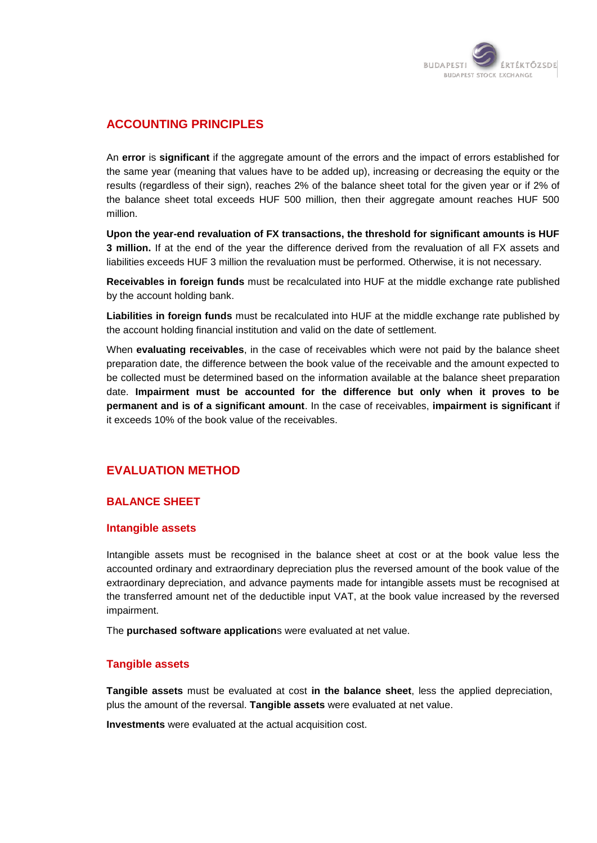

# **ACCOUNTING PRINCIPLES**

An **error** is **significant** if the aggregate amount of the errors and the impact of errors established for the same year (meaning that values have to be added up), increasing or decreasing the equity or the results (regardless of their sign), reaches 2% of the balance sheet total for the given year or if 2% of the balance sheet total exceeds HUF 500 million, then their aggregate amount reaches HUF 500 million.

**Upon the year-end revaluation of FX transactions, the threshold for significant amounts is HUF 3 million.** If at the end of the year the difference derived from the revaluation of all FX assets and liabilities exceeds HUF 3 million the revaluation must be performed. Otherwise, it is not necessary.

**Receivables in foreign funds** must be recalculated into HUF at the middle exchange rate published by the account holding bank.

**Liabilities in foreign funds** must be recalculated into HUF at the middle exchange rate published by the account holding financial institution and valid on the date of settlement.

When **evaluating receivables**, in the case of receivables which were not paid by the balance sheet preparation date, the difference between the book value of the receivable and the amount expected to be collected must be determined based on the information available at the balance sheet preparation date. **Impairment must be accounted for the difference but only when it proves to be permanent and is of a significant amount**. In the case of receivables, **impairment is significant** if it exceeds 10% of the book value of the receivables.

# **EVALUATION METHOD**

#### **BALANCE SHEET**

#### **Intangible assets**

Intangible assets must be recognised in the balance sheet at cost or at the book value less the accounted ordinary and extraordinary depreciation plus the reversed amount of the book value of the extraordinary depreciation, and advance payments made for intangible assets must be recognised at the transferred amount net of the deductible input VAT, at the book value increased by the reversed impairment.

The **purchased software application**s were evaluated at net value.

#### **Tangible assets**

**Tangible assets** must be evaluated at cost **in the balance sheet**, less the applied depreciation, plus the amount of the reversal. **Tangible assets** were evaluated at net value.

**Investments** were evaluated at the actual acquisition cost.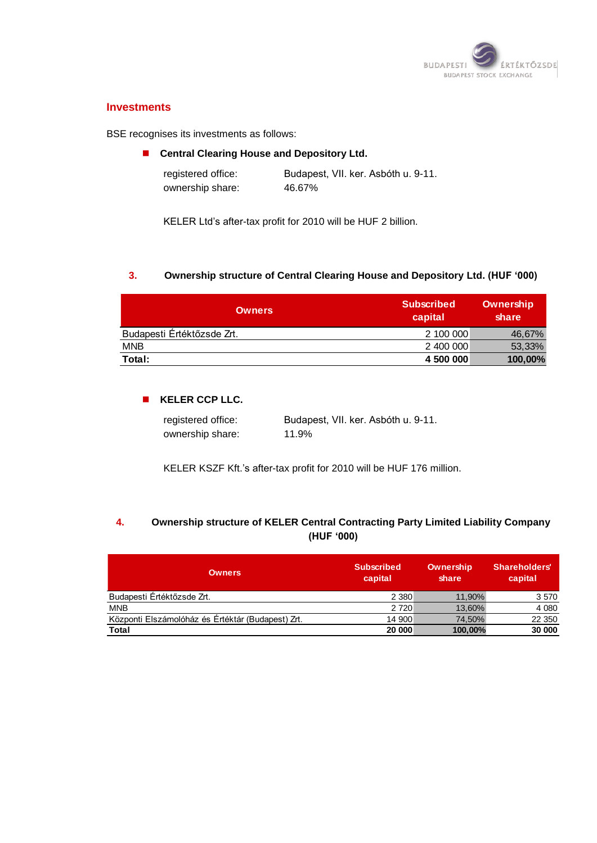

#### **Investments**

BSE recognises its investments as follows:

#### **E** Central Clearing House and Depository Ltd.

| registered office: | Budapest, VII. ker. Asbóth u. 9-11. |
|--------------------|-------------------------------------|
| ownership share:   | 46.67%                              |

KELER Ltd"s after-tax profit for 2010 will be HUF 2 billion.

#### **3. Ownership structure of Central Clearing House and Depository Ltd. (HUF '000)**

| <b>Owners</b>              | <b>Subscribed</b><br>capital | Ownership<br>share |
|----------------------------|------------------------------|--------------------|
| Budapesti Értéktőzsde Zrt. | 2 100 000                    | 46,67%             |
| <b>MNB</b>                 | 2 400 000                    | 53,33%             |
| Total:                     | 4 500 000                    | 100,00%            |

#### **KELER CCP LLC.**

| registered office: | Budapest, VII. ker. Asbóth u. 9-11. |
|--------------------|-------------------------------------|
| ownership share:   | 11.9%                               |

KELER KSZF Kft."s after-tax profit for 2010 will be HUF 176 million.

# **4. Ownership structure of KELER Central Contracting Party Limited Liability Company (HUF '000)**

| <b>Owners</b>                                     | <b>Subscribed</b><br>capital | Ownership<br>share | <b>Shareholders'</b><br>capital |
|---------------------------------------------------|------------------------------|--------------------|---------------------------------|
| Budapesti Értéktőzsde Zrt.                        | 2 3 8 0                      | 11.90%             | 3 5 7 0                         |
| <b>MNB</b>                                        | 2 7 2 0                      | 13,60%             | 4 0 8 0                         |
| Központi Elszámolóház és Értéktár (Budapest) Zrt. | 14 900                       | 74.50%             | 22 350                          |
| Total                                             | 20 000                       | 100,00%            | 30 000                          |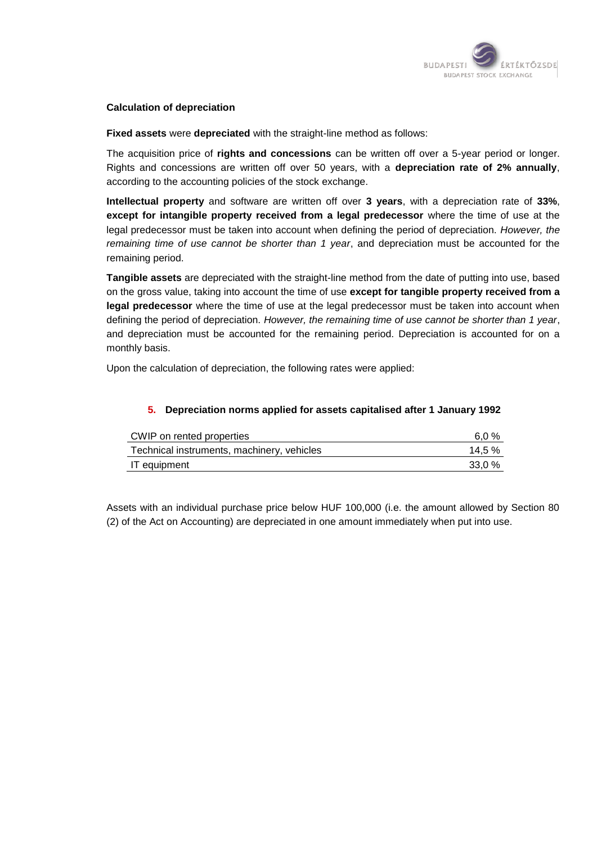

#### **Calculation of depreciation**

**Fixed assets** were **depreciated** with the straight-line method as follows:

The acquisition price of **rights and concessions** can be written off over a 5-year period or longer. Rights and concessions are written off over 50 years, with a **depreciation rate of 2% annually**, according to the accounting policies of the stock exchange.

**Intellectual property** and software are written off over **3 years**, with a depreciation rate of **33%**, **except for intangible property received from a legal predecessor** where the time of use at the legal predecessor must be taken into account when defining the period of depreciation. *However, the remaining time of use cannot be shorter than 1 year*, and depreciation must be accounted for the remaining period.

**Tangible assets** are depreciated with the straight-line method from the date of putting into use, based on the gross value, taking into account the time of use **except for tangible property received from a legal predecessor** where the time of use at the legal predecessor must be taken into account when defining the period of depreciation. *However, the remaining time of use cannot be shorter than 1 year*, and depreciation must be accounted for the remaining period. Depreciation is accounted for on a monthly basis.

Upon the calculation of depreciation, the following rates were applied:

#### **5. Depreciation norms applied for assets capitalised after 1 January 1992**

| CWIP on rented properties                  | 6.0 %  |
|--------------------------------------------|--------|
| Technical instruments, machinery, vehicles | 14.5 % |
| IT equipment                               | 33.0 % |

Assets with an individual purchase price below HUF 100,000 (i.e. the amount allowed by Section 80 (2) of the Act on Accounting) are depreciated in one amount immediately when put into use.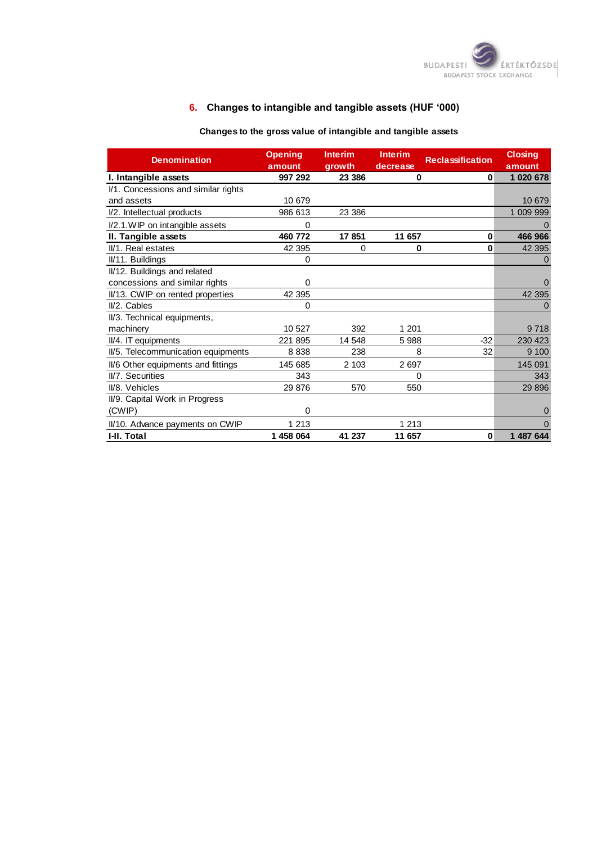

# **6. Changes to intangible and tangible assets (HUF '000)**

# **Changes to the gross value of intangible and tangible assets**

| <b>Denomination</b>                 | <b>Opening</b><br>amount | <b>Interim</b><br>arowth | <b>Interim</b><br>decrease | <b>Reclassification</b> | <b>Closing</b><br>amount |
|-------------------------------------|--------------------------|--------------------------|----------------------------|-------------------------|--------------------------|
| I. Intangible assets                | 997 292                  | 23 386                   | 0                          | 0                       | 1 020 678                |
| I/1. Concessions and similar rights |                          |                          |                            |                         |                          |
| and assets                          | 10 679                   |                          |                            |                         | 10 679                   |
| I/2. Intellectual products          | 986 613                  | 23 386                   |                            |                         | 1 009 999                |
| I/2.1. WIP on intangible assets     | 0                        |                          |                            |                         |                          |
| II. Tangible assets                 | 460 772                  | 17851                    | 11 657                     | 0                       | 466 966                  |
| II/1. Real estates                  | 42 395                   | 0                        | 0                          | 0                       | 42 395                   |
| II/11. Buildings                    | 0                        |                          |                            |                         | $\Omega$                 |
| II/12. Buildings and related        |                          |                          |                            |                         |                          |
| concessions and similar rights      | 0                        |                          |                            |                         | $\Omega$                 |
| II/13. CWIP on rented properties    | 42 395                   |                          |                            |                         | 42 395                   |
| II/2. Cables                        | 0                        |                          |                            |                         | 0                        |
| II/3. Technical equipments,         |                          |                          |                            |                         |                          |
| machinery                           | 10 527                   | 392                      | 1 201                      |                         | 9718                     |
| II/4. IT equipments                 | 221 895                  | 14 548                   | 5988                       | $-32$                   | 230 423                  |
| II/5. Telecommunication equipments  | 8838                     | 238                      | 8                          | 32                      | 9 100                    |
| II/6 Other equipments and fittings  | 145 685                  | 2 103                    | 2697                       |                         | 145 091                  |
| II/7. Securities                    | 343                      |                          | 0                          |                         | 343                      |
| II/8. Vehicles                      | 29 876                   | 570                      | 550                        |                         | 29 8 96                  |
| II/9. Capital Work in Progress      |                          |                          |                            |                         |                          |
| (CWIP)                              | 0                        |                          |                            |                         | $\Omega$                 |
| II/10. Advance payments on CWIP     | 1 2 1 3                  |                          | 1 2 1 3                    |                         |                          |
| I-II. Total                         | 1 458 064                | 41 237                   | 11 657                     | 0                       | 1 487 644                |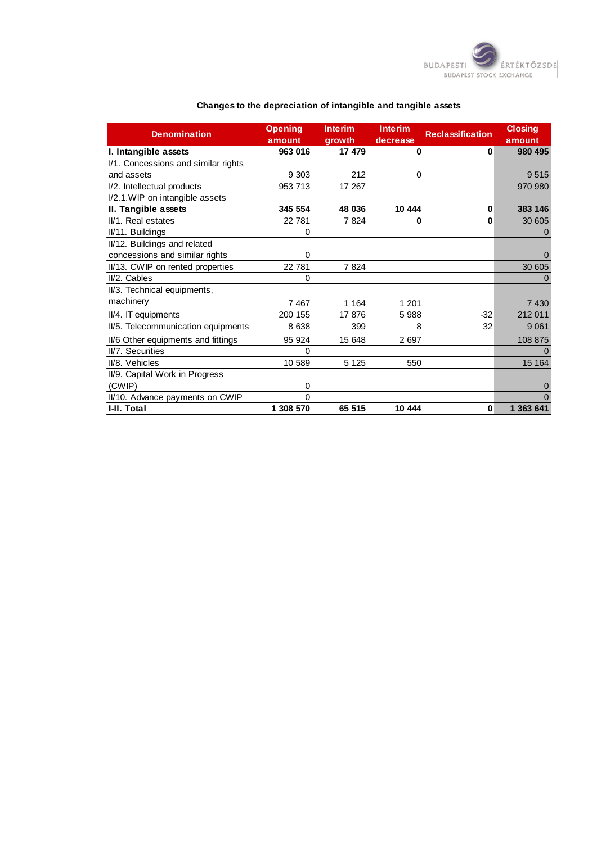

| <b>Denomination</b>                 | <b>Opening</b><br>amount | <b>Interim</b><br>growth | <b>Interim</b><br>decrease | <b>Reclassification</b> | <b>Closing</b><br>amount |
|-------------------------------------|--------------------------|--------------------------|----------------------------|-------------------------|--------------------------|
| I. Intangible assets                | 963 016                  | 17 479                   | 0                          | 0                       | 980 495                  |
| I/1. Concessions and similar rights |                          |                          |                            |                         |                          |
| and assets                          | 9 3 0 3                  | 212                      | 0                          |                         | 9515                     |
| I/2. Intellectual products          | 953 713                  | 17 267                   |                            |                         | 970 980                  |
| I/2.1. WIP on intangible assets     |                          |                          |                            |                         |                          |
| II. Tangible assets                 | 345 554                  | 48 036                   | 10 444                     | $\bf{0}$                | 383 146                  |
| II/1. Real estates                  | 22 781                   | 7824                     | 0                          | $\bf{0}$                | 30 605                   |
| II/11. Buildings                    | 0                        |                          |                            |                         | $\Omega$                 |
| II/12. Buildings and related        |                          |                          |                            |                         |                          |
| concessions and similar rights      | $\Omega$                 |                          |                            |                         | $\Omega$                 |
| II/13. CWIP on rented properties    | 22 781                   | 7824                     |                            |                         | 30 605                   |
| $II/2$ . Cables                     | $\Omega$                 |                          |                            |                         | $\Omega$                 |
| II/3. Technical equipments,         |                          |                          |                            |                         |                          |
| machinery                           | 7467                     | 1 1 6 4                  | 1 201                      |                         | 7 4 3 0                  |
| II/4. IT equipments                 | 200 155                  | 17876                    | 5 9 8 8                    | $-32$                   | 212 011                  |
| II/5. Telecommunication equipments  | 8638                     | 399                      | 8                          | 32                      | 9 0 61                   |
| II/6 Other equipments and fittings  | 95 924                   | 15 648                   | 2697                       |                         | 108 875                  |
| II/7. Securities                    | $\Omega$                 |                          |                            |                         | $\Omega$                 |
| II/8. Vehicles                      | 10 589                   | 5 1 2 5                  | 550                        |                         | 15 164                   |
| II/9. Capital Work in Progress      |                          |                          |                            |                         |                          |
| (CWIP)                              | $\Omega$                 |                          |                            |                         | $\overline{0}$           |
| II/10. Advance payments on CWIP     | $\Omega$                 |                          |                            |                         | $\Omega$                 |
| I-II. Total                         | 1 308 570                | 65 515                   | 10 444                     | $\bf{0}$                | 1 363 641                |

#### **Changes to the depreciation of intangible and tangible assets**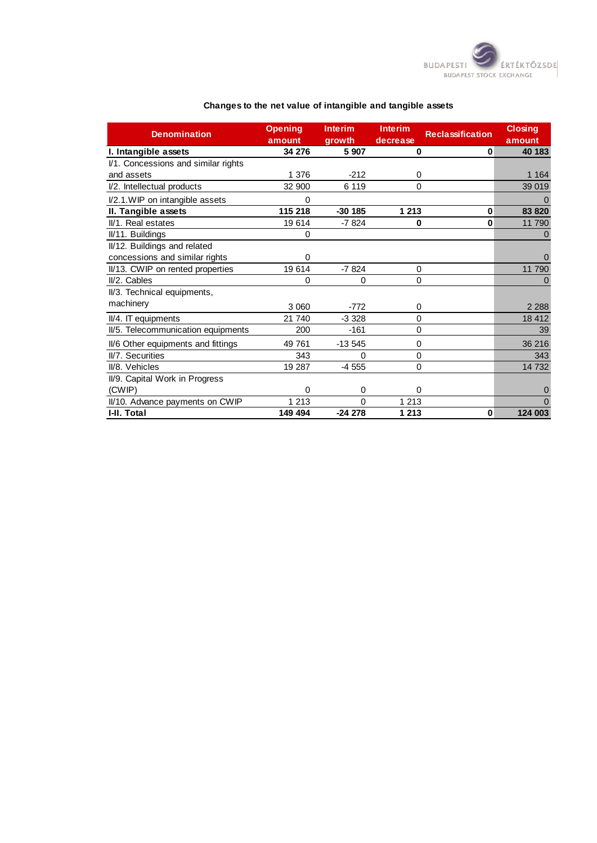

| <b>Denomination</b>                 | <b>Opening</b> | <b>Interim</b> | <b>Interim</b> | <b>Reclassification</b> | <b>Closing</b> |
|-------------------------------------|----------------|----------------|----------------|-------------------------|----------------|
|                                     | amount         | growth         | decrease       |                         | amount         |
| I. Intangible assets                | 34 276         | 5 9 0 7        | 0              | $\bf{0}$                | 40 183         |
| I/1. Concessions and similar rights |                |                |                |                         |                |
| and assets                          | 1 376          | $-212$         | 0              |                         | 1 1 64         |
| I/2. Intellectual products          | 32 900         | 6 1 1 9        | 0              |                         | 39 019         |
| I/2.1. WIP on intangible assets     | $\Omega$       |                |                |                         |                |
| II. Tangible assets                 | 115 218        | $-30185$       | 1 2 1 3        | $\bf{0}$                | 83 820         |
| II/1. Real estates                  | 19614          | $-7824$        | 0              | 0                       | 11 790         |
| II/11. Buildings                    | 0              |                |                |                         |                |
| II/12. Buildings and related        |                |                |                |                         |                |
| concessions and similar rights      | $\Omega$       |                |                |                         | 0              |
| II/13. CWIP on rented properties    | 19614          | $-7824$        | $\Omega$       |                         | 11 790         |
| II/2. Cables                        | 0              | 0              | 0              |                         | $\Omega$       |
| II/3. Technical equipments,         |                |                |                |                         |                |
| machinery                           | 3 0 6 0        | $-772$         | 0              |                         | 2 2 8 8        |
| II/4. IT equipments                 | 21 740         | $-3328$        | 0              |                         | 18 4 12        |
| II/5. Telecommunication equipments  | 200            | -161           | 0              |                         | 39             |
| II/6 Other equipments and fittings  | 49 761         | $-13545$       | 0              |                         | 36 216         |
| II/7. Securities                    | 343            | 0              | 0              |                         | 343            |
| II/8. Vehicles                      | 19 287         | $-4555$        | 0              |                         | 14 732         |
| II/9. Capital Work in Progress      |                |                |                |                         |                |
| (CWIP)                              | $\Omega$       | 0              | 0              |                         | 0              |
| II/10. Advance payments on CWIP     | 1 2 1 3        | 0              | 1 2 1 3        |                         | $\Omega$       |
| I-II. Total                         | 149 494        | $-24278$       | 1 2 1 3        | 0                       | 124 003        |

#### **Changes to the net value of intangible and tangible assets**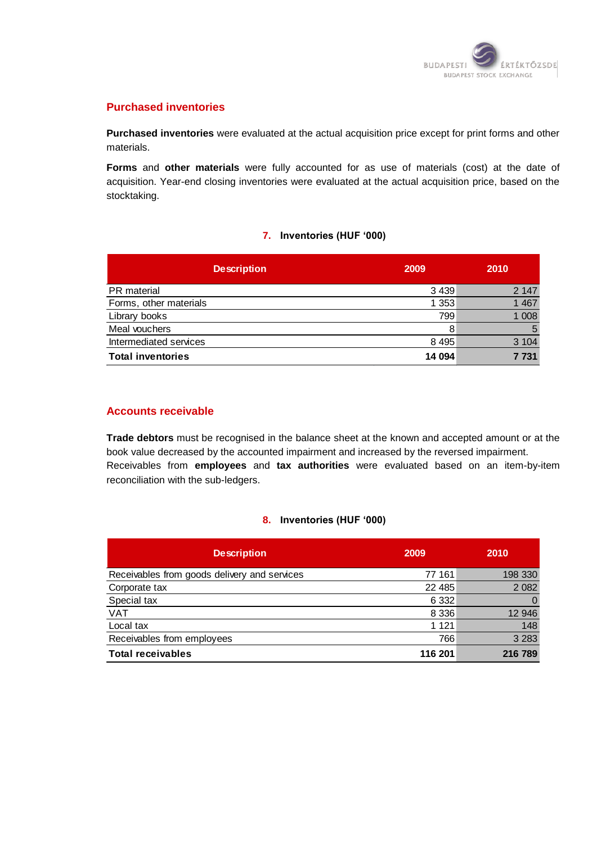

#### **Purchased inventories**

**Purchased inventories** were evaluated at the actual acquisition price except for print forms and other materials.

**Forms** and **other materials** were fully accounted for as use of materials (cost) at the date of acquisition. Year-end closing inventories were evaluated at the actual acquisition price, based on the stocktaking.

#### **7. Inventories (HUF '000)**

| <b>Description</b>       | 2009    | 2010    |
|--------------------------|---------|---------|
| PR material              | 3 4 3 9 | 2 1 4 7 |
| Forms, other materials   | 1 3 5 3 | 1 4 6 7 |
| Library books            | 799     | 1 0 0 8 |
| Meal vouchers            | 8       | 5       |
| Intermediated services   | 8 4 9 5 | 3 1 0 4 |
| <b>Total inventories</b> | 14 094  | 7 7 3 1 |

#### **Accounts receivable**

**Trade debtors** must be recognised in the balance sheet at the known and accepted amount or at the book value decreased by the accounted impairment and increased by the reversed impairment. Receivables from **employees** and **tax authorities** were evaluated based on an item-by-item reconciliation with the sub-ledgers.

#### **8. Inventories (HUF '000)**

| <b>Description</b>                           | 2009     | 2010           |
|----------------------------------------------|----------|----------------|
| Receivables from goods delivery and services | 77 161   | 198 330        |
| Corporate tax                                | 22 4 8 5 | 2 0 8 2        |
| Special tax                                  | 6 3 3 2  | $\overline{0}$ |
| <b>VAT</b>                                   | 8 3 3 6  | 12 946         |
| Local tax                                    | 1 1 2 1  | 148            |
| Receivables from employees                   | 766      | 3 2 8 3        |
| <b>Total receivables</b>                     | 116 201  | 216 789        |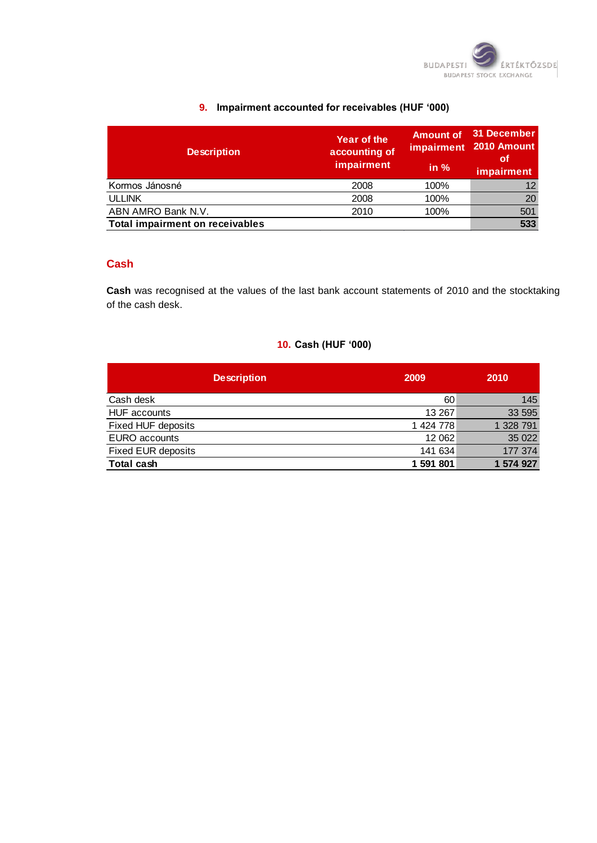

#### **9. Impairment accounted for receivables (HUF '000)**

| <b>Description</b>                     | Year of the<br>accounting of<br>impairment | <b>Amount of</b><br>in $%$ | 31 December<br>impairment 2010 Amount<br>οf<br>impairment |
|----------------------------------------|--------------------------------------------|----------------------------|-----------------------------------------------------------|
| Kormos Jánosné                         | 2008                                       | 100%                       | 12                                                        |
| <b>ULLINK</b>                          | 2008                                       | 100%                       | 20                                                        |
| ABN AMRO Bank N.V.                     | 2010                                       | 100%                       | 501                                                       |
| <b>Total impairment on receivables</b> |                                            |                            | 533                                                       |

### **Cash**

**Cash** was recognised at the values of the last bank account statements of 2010 and the stocktaking of the cash desk.

# **10. Cash (HUF '000)**

| <b>Description</b>        | 2009      | 2010      |
|---------------------------|-----------|-----------|
| Cash desk                 | 60        | 145       |
| <b>HUF</b> accounts       | 13 267    | 33 595    |
| Fixed HUF deposits        | 1 424 778 | 1 328 791 |
| EURO accounts             | 12 062    | 35 0 22   |
| <b>Fixed EUR deposits</b> | 141 634   | 177 374   |
| Total cash                | 1 591 801 | 1 574 927 |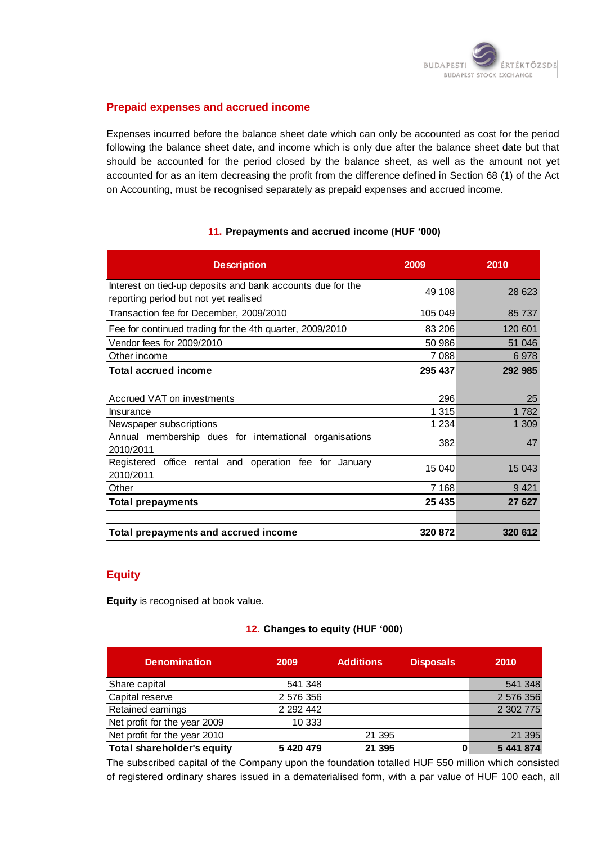

#### **Prepaid expenses and accrued income**

Expenses incurred before the balance sheet date which can only be accounted as cost for the period following the balance sheet date, and income which is only due after the balance sheet date but that should be accounted for the period closed by the balance sheet, as well as the amount not yet accounted for as an item decreasing the profit from the difference defined in Section 68 (1) of the Act on Accounting, must be recognised separately as prepaid expenses and accrued income.

#### **11. Prepayments and accrued income (HUF '000)**

| <b>Description</b>                                                                                  | 2009    | 2010    |
|-----------------------------------------------------------------------------------------------------|---------|---------|
| Interest on tied-up deposits and bank accounts due for the<br>reporting period but not yet realised | 49 108  | 28 623  |
| Transaction fee for December, 2009/2010                                                             | 105 049 | 85 737  |
| Fee for continued trading for the 4th quarter, 2009/2010                                            | 83 206  | 120 601 |
| Vendor fees for 2009/2010                                                                           | 50 986  | 51 046  |
| Other income                                                                                        | 7 0 8 8 | 6978    |
| <b>Total accrued income</b>                                                                         | 295 437 | 292 985 |
|                                                                                                     |         |         |
| Accrued VAT on investments                                                                          | 296     | 25      |
| Insurance                                                                                           | 1 3 1 5 | 1782    |
| Newspaper subscriptions                                                                             | 1 2 3 4 | 1 309   |
| Annual membership dues for international organisations<br>2010/2011                                 | 382     | 47      |
| Registered office rental and operation fee for January<br>2010/2011                                 | 15 040  | 15 043  |
| Other                                                                                               | 7 1 6 8 | 9421    |
| <b>Total prepayments</b>                                                                            | 25 435  | 27 627  |
|                                                                                                     |         |         |
| Total prepayments and accrued income                                                                | 320 872 | 320 612 |

#### **Equity**

**Equity** is recognised at book value.

#### **12. Changes to equity (HUF '000)**

| <b>Denomination</b>               | 2009          | <b>Additions</b> | <b>Disposals</b> | 2010      |
|-----------------------------------|---------------|------------------|------------------|-----------|
| Share capital                     | 541 348       |                  |                  | 541 348   |
| Capital reserve                   | 2 576 356     |                  |                  | 2 576 356 |
| Retained earnings                 | 2 2 9 2 4 4 2 |                  |                  | 2 302 775 |
| Net profit for the year 2009      | 10 333        |                  |                  |           |
| Net profit for the year 2010      |               | 21 395           |                  | 21 395    |
| <b>Total shareholder's equity</b> | 5 420 479     | 21 395           |                  | 5 441 874 |

The subscribed capital of the Company upon the foundation totalled HUF 550 million which consisted of registered ordinary shares issued in a dematerialised form, with a par value of HUF 100 each, all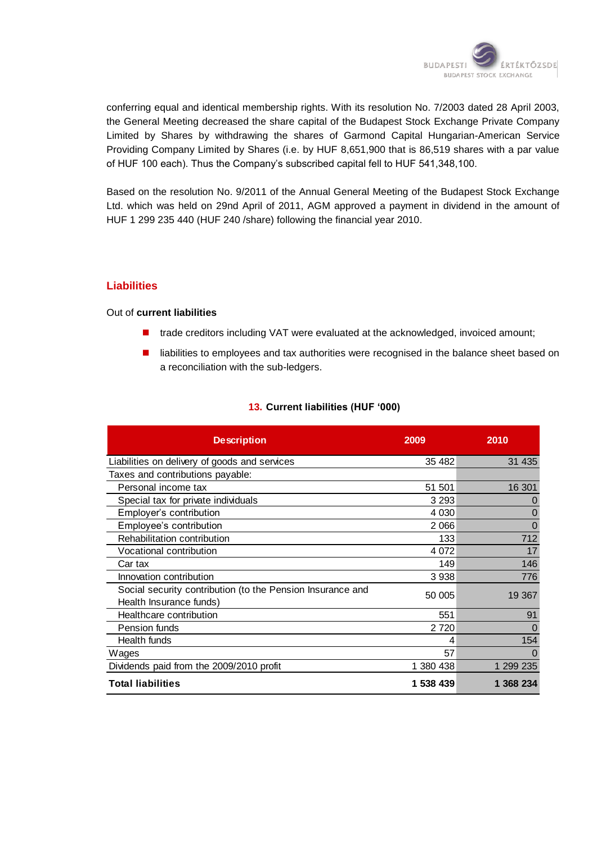

conferring equal and identical membership rights. With its resolution No. 7/2003 dated 28 April 2003, the General Meeting decreased the share capital of the Budapest Stock Exchange Private Company Limited by Shares by withdrawing the shares of Garmond Capital Hungarian-American Service Providing Company Limited by Shares (i.e. by HUF 8,651,900 that is 86,519 shares with a par value of HUF 100 each). Thus the Company"s subscribed capital fell to HUF 541,348,100.

Based on the resolution No. 9/2011 of the Annual General Meeting of the Budapest Stock Exchange Ltd. which was held on 29nd April of 2011, AGM approved a payment in dividend in the amount of HUF 1 299 235 440 (HUF 240 /share) following the financial year 2010.

#### **Liabilities**

#### Out of **current liabilities**

- trade creditors including VAT were evaluated at the acknowledged, invoiced amount;
- **I** liabilities to employees and tax authorities were recognised in the balance sheet based on a reconciliation with the sub-ledgers.

#### **13. Current liabilities (HUF '000)**

| <b>Description</b>                                                                    | 2009      | 2010      |
|---------------------------------------------------------------------------------------|-----------|-----------|
| Liabilities on delivery of goods and services                                         | 35 482    | 31 435    |
| Taxes and contributions payable:                                                      |           |           |
| Personal income tax                                                                   | 51 501    | 16 301    |
| Special tax for private individuals                                                   | 3 2 9 3   | $\Omega$  |
| Employer's contribution                                                               | 4 0 3 0   | O         |
| Employee's contribution                                                               | 2 0 6 6   | $\Omega$  |
| Rehabilitation contribution                                                           | 133       | 712       |
| Vocational contribution                                                               | 4 0 7 2   | 17        |
| Car tax                                                                               | 149       | 146       |
| Innovation contribution                                                               | 3938      | 776       |
| Social security contribution (to the Pension Insurance and<br>Health Insurance funds) | 50 005    | 19 367    |
| Healthcare contribution                                                               | 551       | 91        |
| Pension funds                                                                         | 2 7 2 0   | $\Omega$  |
| Health funds                                                                          | 4         | 154       |
| Wages                                                                                 | 57        | $\Omega$  |
| Dividends paid from the 2009/2010 profit                                              | 1 380 438 | 1 299 235 |
| <b>Total liabilities</b>                                                              | 1 538 439 | 1 368 234 |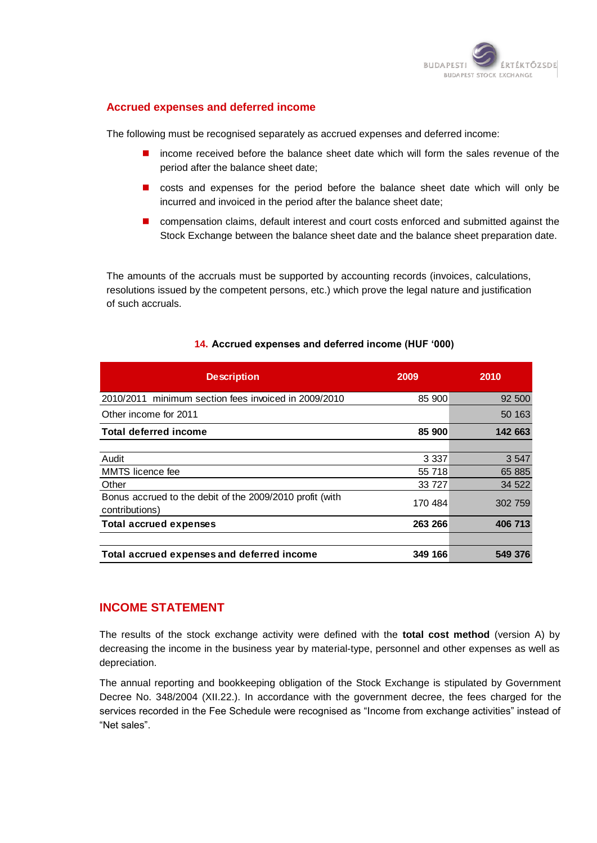

#### **Accrued expenses and deferred income**

The following must be recognised separately as accrued expenses and deferred income:

- income received before the balance sheet date which will form the sales revenue of the period after the balance sheet date;
- $\blacksquare$  costs and expenses for the period before the balance sheet date which will only be incurred and invoiced in the period after the balance sheet date;
- **n** compensation claims, default interest and court costs enforced and submitted against the Stock Exchange between the balance sheet date and the balance sheet preparation date.

The amounts of the accruals must be supported by accounting records (invoices, calculations, resolutions issued by the competent persons, etc.) which prove the legal nature and justification of such accruals.

| <b>Description</b>                                                         | 2009    | 2010    |
|----------------------------------------------------------------------------|---------|---------|
| 2010/2011 minimum section fees invoiced in 2009/2010                       | 85 900  | 92 500  |
| Other income for 2011                                                      |         | 50 163  |
| <b>Total deferred income</b>                                               | 85 900  | 142 663 |
|                                                                            |         |         |
| Audit                                                                      | 3 3 3 7 | 3 5 4 7 |
| MMTS licence fee                                                           | 55 718  | 65 885  |
| Other                                                                      | 33 727  | 34 522  |
| Bonus accrued to the debit of the 2009/2010 profit (with<br>contributions) | 170 484 | 302 759 |
| <b>Total accrued expenses</b>                                              | 263 266 | 406 713 |
|                                                                            |         |         |
| Total accrued expenses and deferred income                                 | 349 166 | 549 376 |

#### **14. Accrued expenses and deferred income (HUF '000)**

#### **INCOME STATEMENT**

The results of the stock exchange activity were defined with the **total cost method** (version A) by decreasing the income in the business year by material-type, personnel and other expenses as well as depreciation.

The annual reporting and bookkeeping obligation of the Stock Exchange is stipulated by Government Decree No. 348/2004 (XII.22.). In accordance with the government decree, the fees charged for the services recorded in the Fee Schedule were recognised as "Income from exchange activities" instead of "Net sales".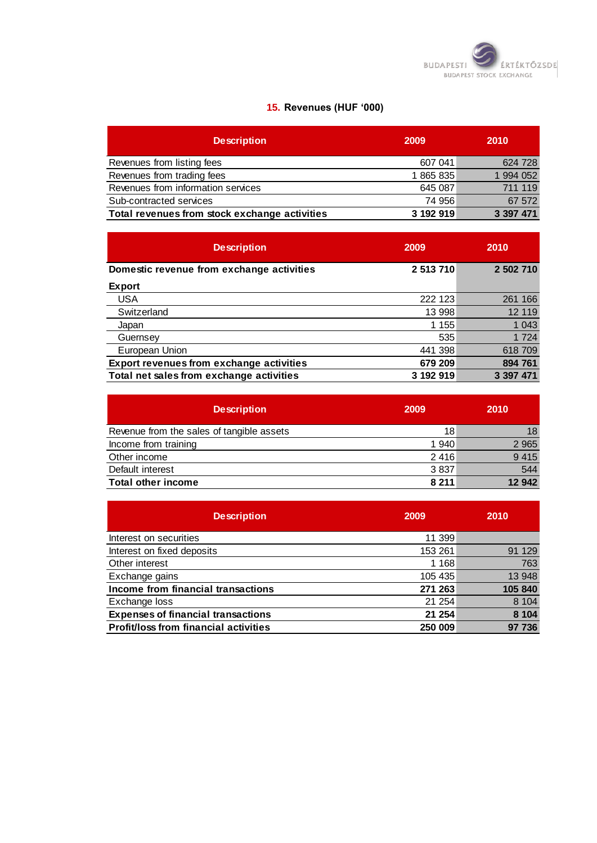

# **15. Revenues (HUF '000)**

| <b>Description</b>                            | 2009      | 2010      |
|-----------------------------------------------|-----------|-----------|
| Revenues from listing fees                    | 607 041   | 624 728   |
| Revenues from trading fees                    | 1865835   | 1 994 052 |
| Revenues from information services            | 645 087   | 711 119   |
| Sub-contracted services                       | 74 956    | 67 572    |
| Total revenues from stock exchange activities | 3 192 919 | 3 397 471 |

| <b>Description</b>                              | 2009      | 2010      |
|-------------------------------------------------|-----------|-----------|
| Domestic revenue from exchange activities       | 2 513 710 | 2 502 710 |
| <b>Export</b>                                   |           |           |
| <b>USA</b>                                      | 222 123   | 261 166   |
| Switzerland                                     | 13 998    | 12 119    |
| Japan                                           | 1 1 5 5   | 1 0 4 3   |
| Guernsey                                        | 535       | 1 7 2 4   |
| European Union                                  | 441 398   | 618 709   |
| <b>Export revenues from exchange activities</b> | 679 209   | 894 761   |
| Total net sales from exchange activities        | 3 192 919 | 3 397 471 |

| <b>Description</b>                        | 2009    | 2010    |
|-------------------------------------------|---------|---------|
| Revenue from the sales of tangible assets | 18      | 18      |
| Income from training                      | 1 940   | 2 9 6 5 |
| Other income                              | 2416    | 9 4 1 5 |
| Default interest                          | 3837    | 544     |
| <b>Total other income</b>                 | 8 2 1 1 | 12 942  |

| <b>Description</b>                           | 2009    | 2010    |
|----------------------------------------------|---------|---------|
| Interest on securities                       | 11 399  |         |
| Interest on fixed deposits                   | 153 261 | 91 129  |
| Other interest                               | 1 1 6 8 | 763     |
| Exchange gains                               | 105 435 | 13 948  |
| Income from financial transactions           | 271 263 | 105 840 |
| Exchange loss                                | 21 254  | 8 1 0 4 |
| <b>Expenses of financial transactions</b>    | 21 254  | 8 1 0 4 |
| <b>Profit/loss from financial activities</b> | 250 009 | 97 736  |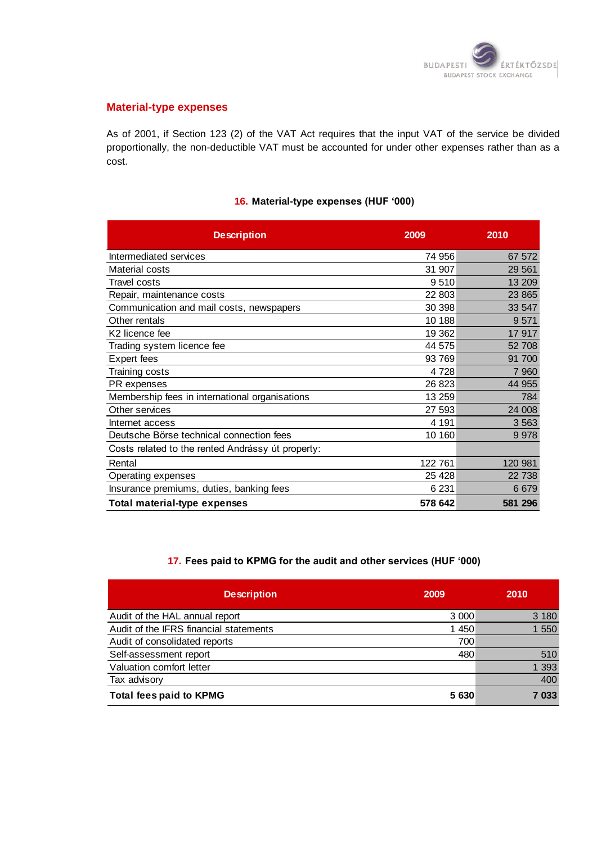

#### **Material-type expenses**

As of 2001, if Section 123 (2) of the VAT Act requires that the input VAT of the service be divided proportionally, the non-deductible VAT must be accounted for under other expenses rather than as a cost.

#### **16. Material-type expenses (HUF '000)**

| <b>Description</b>                                | 2009    | 2010    |
|---------------------------------------------------|---------|---------|
| Intermediated services                            | 74 956  | 67 572  |
| Material costs                                    | 31 907  | 29 5 61 |
| Travel costs                                      | 9510    | 13 209  |
| Repair, maintenance costs                         | 22 803  | 23 865  |
| Communication and mail costs, newspapers          | 30 398  | 33 547  |
| Other rentals                                     | 10 188  | 9571    |
| K2 licence fee                                    | 19 362  | 17917   |
| Trading system licence fee                        | 44 575  | 52 708  |
| <b>Expert fees</b>                                | 93 769  | 91 700  |
| Training costs                                    | 4 7 2 8 | 7 9 6 0 |
| PR expenses                                       | 26 823  | 44 955  |
| Membership fees in international organisations    | 13 259  | 784     |
| Other services                                    | 27 593  | 24 008  |
| Internet access                                   | 4 1 9 1 | 3 5 6 3 |
| Deutsche Börse technical connection fees          | 10 160  | 9978    |
| Costs related to the rented Andrássy út property: |         |         |
| Rental                                            | 122 761 | 120 981 |
| Operating expenses                                | 25 4 28 | 22 738  |
| Insurance premiums, duties, banking fees          | 6 2 31  | 6679    |
| Total material-type expenses                      | 578 642 | 581 296 |

#### **17. Fees paid to KPMG for the audit and other services (HUF '000)**

| <b>Description</b>                     | 2009    | 2010    |
|----------------------------------------|---------|---------|
| Audit of the HAL annual report         | 3 0 0 0 | 3 180   |
| Audit of the IFRS financial statements | 1 450   | 550     |
| Audit of consolidated reports          | 700     |         |
| Self-assessment report                 | 480     | 510     |
| Valuation comfort letter               |         | 1 3 9 3 |
| Tax advisory                           |         | 400     |
| <b>Total fees paid to KPMG</b>         | 5 630   | 7 033   |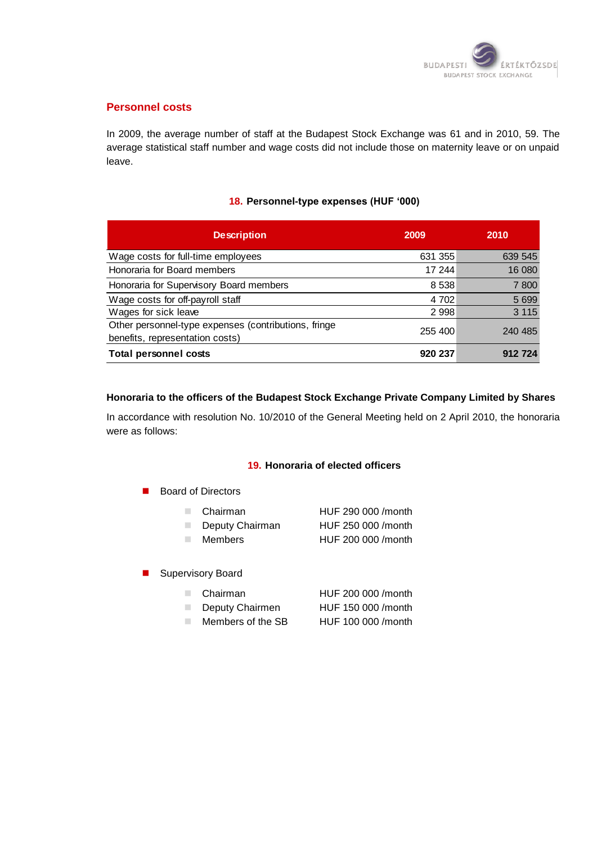

#### **Personnel costs**

In 2009, the average number of staff at the Budapest Stock Exchange was 61 and in 2010, 59. The average statistical staff number and wage costs did not include those on maternity leave or on unpaid leave.

#### **18. Personnel-type expenses (HUF '000)**

| <b>Description</b>                                                                      | 2009    | 2010    |
|-----------------------------------------------------------------------------------------|---------|---------|
| Wage costs for full-time employees                                                      | 631 355 | 639 545 |
| Honoraria for Board members                                                             | 17 244  | 16 080  |
| Honoraria for Supervisory Board members                                                 | 8 5 3 8 | 7800    |
| Wage costs for off-payroll staff                                                        | 4 702   | 5 6 9 9 |
| Wages for sick leave                                                                    | 2 9 9 8 | 3 1 1 5 |
| Other personnel-type expenses (contributions, fringe<br>benefits, representation costs) | 255 400 | 240 485 |
| <b>Total personnel costs</b>                                                            | 920 237 | 912 724 |

#### **Honoraria to the officers of the Budapest Stock Exchange Private Company Limited by Shares**

In accordance with resolution No. 10/2010 of the General Meeting held on 2 April 2010, the honoraria were as follows:

#### **19. Honoraria of elected officers**

Board of Directors

| Chairman        | HUF 290 000 /month |
|-----------------|--------------------|
| Deputy Chairman | HUF 250 000 /month |

- Members HUF 200 000 /month
- 
- **Supervisory Board**

| Chairman          | HUF 200 000 / month |
|-------------------|---------------------|
| Deputy Chairmen   | HUF 150 000 / month |
| Members of the SB | HUF 100 000 / month |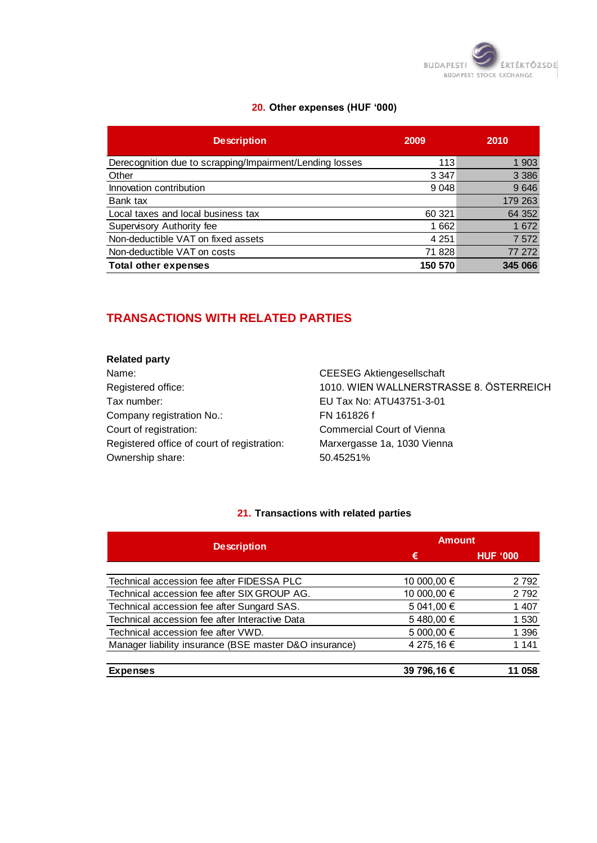

# **20. Other expenses (HUF '000)**

| <b>Description</b>                                       | 2009    | 2010    |
|----------------------------------------------------------|---------|---------|
| Derecognition due to scrapping/Impairment/Lending losses | 113     | 1 903   |
| Other                                                    | 3 3 4 7 | 3 3 8 6 |
| Innovation contribution                                  | 9 0 48  | 9646    |
| Bank tax                                                 |         | 179 263 |
| Local taxes and local business tax                       | 60 321  | 64 352  |
| Supervisory Authority fee                                | 1662    | 1672    |
| Non-deductible VAT on fixed assets                       | 4 251   | 7 5 7 2 |
| Non-deductible VAT on costs                              | 71 828  | 77 272  |
| <b>Total other expenses</b>                              | 150 570 | 345 066 |

# **TRANSACTIONS WITH RELATED PARTIES**

#### **Related party**

Name: Name: CEESEG Aktiengesellschaft Tax number: EU Tax No: ATU43751-3-01 Company registration No.: FN 161826 f Court of registration: Commercial Court of Vienna Registered office of court of registration: Marxergasse 1a, 1030 Vienna Ownership share: 50.45251%

Registered office: 1010. WIEN WALLNERSTRASSE 8. ÖSTERREICH

#### **21. Transactions with related parties**

| <b>Description</b>                                     | <b>Amount</b> |                 |
|--------------------------------------------------------|---------------|-----------------|
|                                                        | €             | <b>HUF '000</b> |
|                                                        |               |                 |
| Technical accession fee after FIDESSA PLC              | 10 000,00 €   | 2 7 9 2         |
| Technical accession fee after SIX GROUP AG.            | 10 000,00 €   | 2792            |
| Technical accession fee after Sungard SAS.             | 5 041,00 €    | 1 407           |
| Technical accession fee after Interactive Data         | 5480,00€      | 1 530           |
| Technical accession fee after VWD.                     | 5 000,00 €    | 1 3 9 6         |
| Manager liability insurance (BSE master D&O insurance) | 4 275,16 €    | 1 1 4 1         |
| <b>Expenses</b>                                        | 39 796,16 €   | 058             |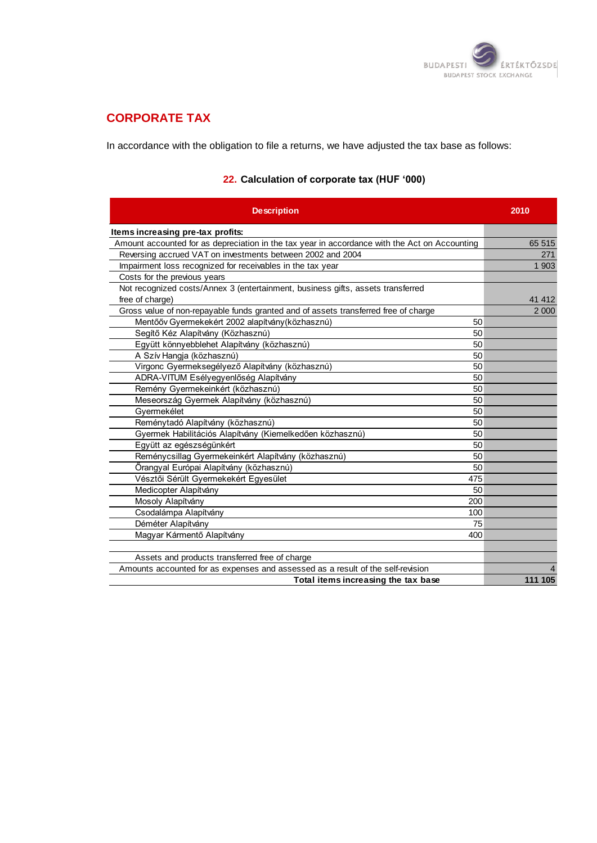

# **CORPORATE TAX**

In accordance with the obligation to file a returns, we have adjusted the tax base as follows:

| <b>Description</b>                                                                            | 2010    |
|-----------------------------------------------------------------------------------------------|---------|
| Items increasing pre-tax profits:                                                             |         |
| Amount accounted for as depreciation in the tax year in accordance with the Act on Accounting | 65 515  |
| Reversing accrued VAT on investments between 2002 and 2004                                    | 271     |
| Impairment loss recognized for receivables in the tax year                                    | 1 903   |
| Costs for the previous years                                                                  |         |
| Not recognized costs/Annex 3 (entertainment, business gifts, assets transferred               |         |
| free of charge)                                                                               | 41 412  |
| Gross value of non-repayable funds granted and of assets transferred free of charge           | 2 0 0 0 |
| Mentőőv Gyermekekért 2002 alapítvány (közhasznú)<br>50                                        |         |
| Segítő Kéz Alapítvány (Közhasznú)<br>50                                                       |         |
| Együtt könnyebblehet Alapítvány (közhasznú)<br>50                                             |         |
| A Szív Hangja (közhasznú)<br>50                                                               |         |
| Virgonc Gyermeksegélyező Alapítvány (közhasznú)<br>50                                         |         |
| ADRA-VITUM Esélyegyenlőség Alapítvány<br>50                                                   |         |
| Remény Gyermekeinkért (közhasznú)<br>50                                                       |         |
| Meseország Gyermek Alapítvány (közhasznú)<br>50                                               |         |
| Gvermekélet<br>50                                                                             |         |
| Reménytadó Alapítvány (közhasznú)<br>50                                                       |         |
| Gyermek Habilitációs Alapítvány (Kiemelkedően közhasznú)<br>50                                |         |
| Együtt az egészségünkért<br>50                                                                |         |
| Reménycsillag Gyermekeinkért Alapítvány (közhasznú)<br>50                                     |         |
| Örangyal Európai Alapítvány (közhasznú)<br>50                                                 |         |
| Vésztői Sérült Gyermekekért Egyesület<br>475                                                  |         |
| Medicopter Alapítvány<br>50                                                                   |         |
| Mosoly Alapítvány<br>200                                                                      |         |
| Csodalámpa Alapítvány<br>100                                                                  |         |
| Déméter Alapítvány<br>75                                                                      |         |
| Magyar Kármentő Alapítvány<br>400                                                             |         |
|                                                                                               |         |
| Assets and products transferred free of charge                                                |         |
| Amounts accounted for as expenses and assessed as a result of the self-revision               |         |
| Total items increasing the tax base                                                           | 111 105 |

# **22. Calculation of corporate tax (HUF '000)**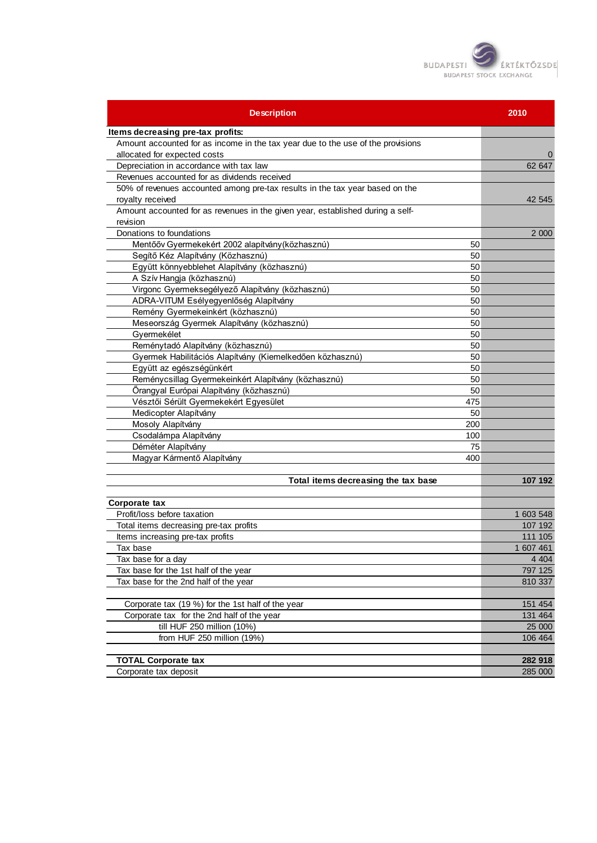

| <b>Description</b>                                                              | 2010      |
|---------------------------------------------------------------------------------|-----------|
| Items decreasing pre-tax profits:                                               |           |
| Amount accounted for as income in the tax year due to the use of the provisions |           |
| allocated for expected costs                                                    |           |
| Depreciation in accordance with tax law                                         | 62 647    |
| Revenues accounted for as dividends received                                    |           |
| 50% of revenues accounted among pre-tax results in the tax year based on the    |           |
| royalty received                                                                | 42 545    |
| Amount accounted for as revenues in the given year, established during a self-  |           |
| revision                                                                        |           |
| Donations to foundations                                                        | 2 0 0 0   |
| Mentőőv Gyermekekért 2002 alapítvány (közhasznú)<br>50                          |           |
| Segítő Kéz Alapítvány (Közhasznú)<br>50                                         |           |
| Együtt könnyebblehet Alapítvány (közhasznú)<br>50                               |           |
| A Szív Hangja (közhasznú)<br>50                                                 |           |
| Virgonc Gyermeksegélyező Alapítvány (közhasznú)<br>50                           |           |
| ADRA-VITUM Esélyegyenlőség Alapítvány<br>50                                     |           |
| Remény Gyermekeinkért (közhasznú)<br>50                                         |           |
| Meseország Gyermek Alapítvány (közhasznú)<br>50                                 |           |
| Gyermekélet<br>50                                                               |           |
| Reménytadó Alapítvány (közhasznú)<br>50                                         |           |
| Gyermek Habilitációs Alapítvány (Kiemelkedően közhasznú)<br>50                  |           |
| Együtt az egészségünkért<br>50                                                  |           |
| Reménycsillag Gyermekeinkért Alapítvány (közhasznú)<br>50                       |           |
| Őrangyal Európai Alapítvány (közhasznú)<br>50                                   |           |
| Vésztői Sérült Gyermekekért Egyesület<br>475                                    |           |
| Medicopter Alapítvány<br>50                                                     |           |
| Mosoly Alapítvány<br>200                                                        |           |
| Csodalámpa Alapítvány<br>100                                                    |           |
| 75<br>Déméter Alapítvány                                                        |           |
| Magyar Kármentő Alapítvány<br>400                                               |           |
| Total items decreasing the tax base                                             | 107 192   |
| Corporate tax                                                                   |           |
| Profit/loss before taxation                                                     | 1 603 548 |
| Total items decreasing pre-tax profits                                          | 107 192   |
| Items increasing pre-tax profits                                                | 111 105   |
| Tax base                                                                        | 1 607 461 |
| Tax base for a day                                                              | 4 4 0 4   |
| Tax base for the 1st half of the year                                           | 797 125   |
| Tax base for the 2nd half of the year                                           | 810 337   |
|                                                                                 |           |
| Corporate tax (19 %) for the 1st half of the year                               | 151 454   |
| Corporate tax for the 2nd half of the year                                      | 131 464   |
| till HUF 250 million (10%)                                                      | 25 000    |
| from HUF 250 million (19%)                                                      | 106 464   |
|                                                                                 |           |
| <b>TOTAL Corporate tax</b>                                                      | 282 918   |
| Corporate tax deposit                                                           | 285 000   |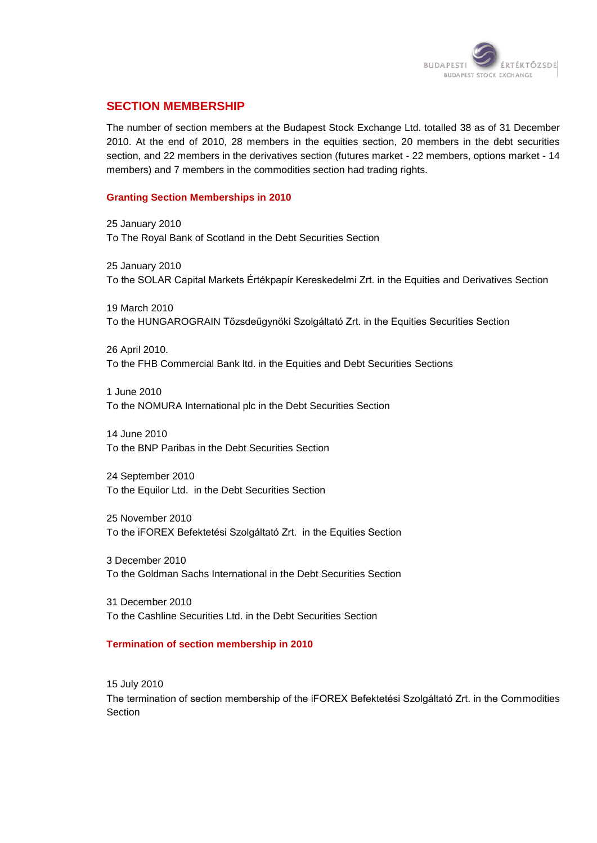

# **SECTION MEMBERSHIP**

The number of section members at the Budapest Stock Exchange Ltd. totalled 38 as of 31 December 2010. At the end of 2010, 28 members in the equities section, 20 members in the debt securities section, and 22 members in the derivatives section (futures market - 22 members, options market - 14 members) and 7 members in the commodities section had trading rights.

#### **Granting Section Memberships in 2010**

25 January 2010 To The Royal Bank of Scotland in the Debt Securities Section

25 January 2010 To the SOLAR Capital Markets Értékpapír Kereskedelmi Zrt. in the Equities and Derivatives Section

19 March 2010 To the HUNGAROGRAIN Tőzsdeügynöki Szolgáltató Zrt. in the Equities Securities Section

26 April 2010. To the FHB Commercial Bank ltd. in the Equities and Debt Securities Sections

1 June 2010 To the NOMURA International plc in the Debt Securities Section

14 June 2010 To the BNP Paribas in the Debt Securities Section

24 September 2010 To the Equilor Ltd. in the Debt Securities Section

25 November 2010 To the iFOREX Befektetési Szolgáltató Zrt. in the Equities Section

3 December 2010 To the Goldman Sachs International in the Debt Securities Section

31 December 2010 To the Cashline Securities Ltd. in the Debt Securities Section

#### **Termination of section membership in 2010**

15 July 2010 The termination of section membership of the iFOREX Befektetési Szolgáltató Zrt. in the Commodities **Section**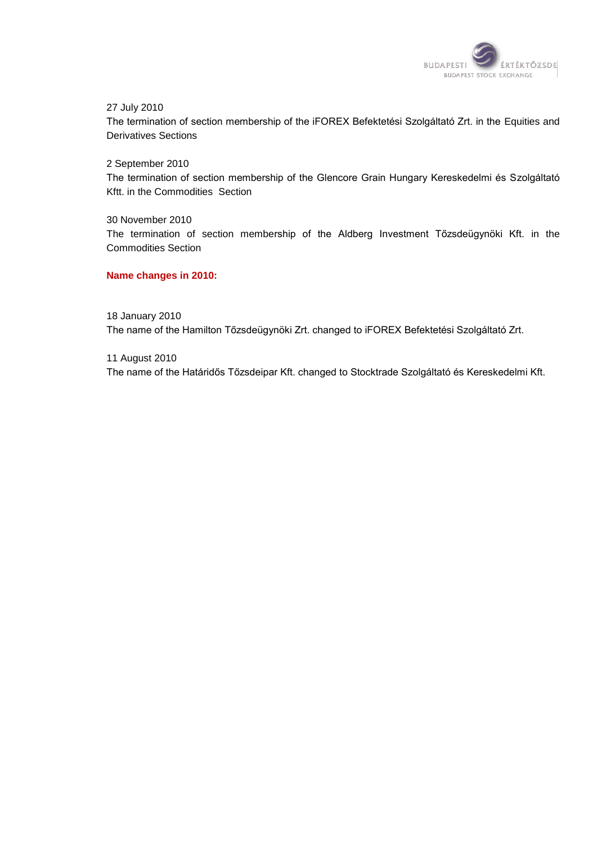

27 July 2010

The termination of section membership of the iFOREX Befektetési Szolgáltató Zrt. in the Equities and Derivatives Sections

2 September 2010 The termination of section membership of the Glencore Grain Hungary Kereskedelmi és Szolgáltató Kftt. in the Commodities Section

30 November 2010 The termination of section membership of the Aldberg Investment Tőzsdeügynöki Kft. in the Commodities Section

#### **Name changes in 2010:**

18 January 2010

The name of the Hamilton Tőzsdeügynöki Zrt. changed to iFOREX Befektetési Szolgáltató Zrt.

11 August 2010

The name of the Határidős Tőzsdeipar Kft. changed to Stocktrade Szolgáltató és Kereskedelmi Kft.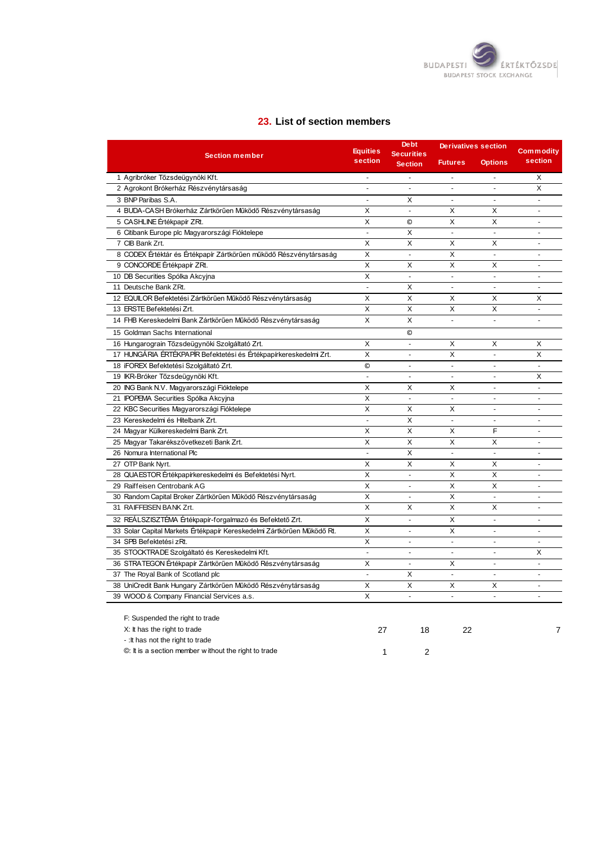

#### **23. List of section members**

| <b>Section member</b>                                                  |                          | <b>Debt</b><br><b>Securities</b> | <b>Derivatives section</b> | <b>Commodity</b>         |                          |
|------------------------------------------------------------------------|--------------------------|----------------------------------|----------------------------|--------------------------|--------------------------|
|                                                                        | section                  | <b>Section</b>                   | <b>Futures</b>             | <b>Options</b>           | section                  |
| 1 Agribróker Tőzsdeügynöki Kft.                                        | $\blacksquare$           | $\overline{a}$                   | $\overline{a}$             |                          | X                        |
| 2 Agrokont Brókerház Részvénytársaság                                  | $\mathbf{r}$             | $\blacksquare$                   | $\blacksquare$             | $\blacksquare$           | X                        |
| 3 BNP Paribas S.A.                                                     | $\blacksquare$           | X                                | $\tilde{\phantom{a}}$      | ÷,                       |                          |
| 4 BUDA-CASH Brókerház Zártkörűen Működő Részvénytársaság               | X                        | $\overline{a}$                   | X                          | X                        | $\sim$                   |
| 5 CASHLINE Értékpapír ZRt.                                             | X                        | $\circledcirc$                   | X                          | X                        | $\blacksquare$           |
| 6 Citibank Europe plc Magyarországi Fióktelepe                         | $\sim$                   | X                                | $\sim$                     | $\sim$                   | $\blacksquare$           |
| 7 CIB Bank Zrt.                                                        | X                        | X                                | X                          | X                        | $\sim$                   |
| 8 CODEX Értéktár és Értékpapír Zártkörűen működő Részvénytársaság      | X                        | $\mathbf{r}$                     | X                          | $\overline{a}$           | $\sim$                   |
| 9 CONCORDE Értékpapír ZRt.                                             | $\overline{\mathsf{x}}$  | X                                | X                          | X                        | $\overline{a}$           |
| 10 DB Securities Spólka Akcyjna                                        | X                        | $\blacksquare$                   | $\blacksquare$             | $\blacksquare$           | $\overline{\phantom{a}}$ |
| 11 Deutsche Bank ZRt.                                                  | $\blacksquare$           | X                                | $\sim$                     | $\sim$                   | $\sim$                   |
| 12 EQUILOR Befektetési Zártkörűen Működő Részvénytársaság              | X                        | X                                | X                          | X                        | X                        |
| 13 ERSTE Befektetési Zrt.                                              | X                        | X                                | X                          | X                        | $\sim$                   |
| 14 FHB Kereskedelmi Bank Zártkörűen Működő Részvénytársaság            | $\overline{\mathsf{x}}$  | $\overline{\mathsf{x}}$          | $\blacksquare$             | $\overline{a}$           | $\overline{a}$           |
| 15 Goldman Sachs International                                         |                          | $\odot$                          |                            |                          |                          |
| 16 Hungarograin Tőzsdeügynöki Szolgáltató Zrt.                         | X                        | ÷.                               | X                          | X                        | X                        |
| 17 HUNGÁRIA ÉRTÉKPAPÍR Befektetési és Értékpapírkereskedelmi Zrt.      | $\overline{\mathsf{x}}$  | $\blacksquare$                   | X                          | $\blacksquare$           | X                        |
| 18 iFOREX Befektetési Szolgáltató Zrt.                                 | $\circledcirc$           | $\overline{a}$                   | $\mathbf{r}$               | ×.                       | $\omega$                 |
| 19 IKR-Bróker Tőzsdeügynöki Kft.                                       | $\overline{\phantom{a}}$ | $\blacksquare$                   | $\blacksquare$             | ÷,                       | X                        |
| 20 ING Bank N.V. Magyarországi Fióktelepe                              | X                        | X                                | X                          | ÷.                       | $\blacksquare$           |
| 21 IPOPEMA Securities Spólka Akcyjna                                   | X                        | $\blacksquare$                   | $\blacksquare$             | ÷,                       | $\blacksquare$           |
| 22 KBC Securities Magyarországi Fióktelepe                             | X                        | X                                | X                          | $\blacksquare$           | $\sim$                   |
| 23 Kereskedelmi és Hitelbank Zrt.                                      | $\mathbf{r}$             | X                                | $\mathbf{r}$               | $\overline{a}$           | $\sim$                   |
| 24 Magyar Külkereskedelmi Bank Zrt.                                    | X                        | X                                | X                          | F                        | $\sim$                   |
| 25 Magyar Takarékszövetkezeti Bank Zrt.                                | $\mathsf{x}$             | $\times$                         | X                          | X                        | $\overline{a}$           |
| 26 Nomura International Plc                                            | $\blacksquare$           | X                                | $\blacksquare$             | $\blacksquare$           | $\overline{\phantom{a}}$ |
| 27 OTP Bank Nyrt.                                                      | X                        | X                                | X                          | X                        | $\blacksquare$           |
| 28 QUAESTOR Értékpapírkereskedelmi és Befektetési Nyrt.                | X                        | ä,                               | X                          | X                        | $\sim$                   |
| 29 Raiffeisen Centrobank AG                                            | X                        | $\blacksquare$                   | X                          | X                        | $\sim$                   |
| 30 Random Capital Broker Zártkörűen Működő Részvénytársaság            | $\overline{\mathsf{x}}$  | ä,                               | $\overline{X}$             | $\overline{a}$           | $\overline{a}$           |
| 31 RAIFFEISEN BANK Zrt.                                                | X                        | X                                | X                          | X                        | $\blacksquare$           |
| 32 REÁLSZISZTÉMA Értékpapír-forgalmazó és Befektető Zrt.               | X                        | $\overline{a}$                   | X                          | $\overline{a}$           | ÷.                       |
| 33 Solar Capital Markets Értékpapír Kereskedelmi Zártkörűen Működő Rt. | $\overline{\mathsf{x}}$  | $\overline{a}$                   | X                          |                          | $\overline{a}$           |
| 34 SPB Befektetési zRt.                                                | X                        | $\blacksquare$                   | $\blacksquare$             | $\blacksquare$           | $\blacksquare$           |
| 35 STOCKTRADE Szolgáltató és Kereskedelmi Kft.                         | $\overline{a}$           | $\overline{a}$                   | ÷.                         | $\overline{\phantom{a}}$ | X                        |
| 36 STRATEGON Értékpapír Zártkörűen Működő Részvénytársaság             | X                        | $\blacksquare$                   | X                          | $\ddot{\phantom{1}}$     | $\blacksquare$           |
| 37 The Royal Bank of Scotland plc                                      | $\overline{a}$           | X                                | $\overline{a}$             | $\overline{a}$           | $\sim$                   |
| 38 UniCredit Bank Hungary Zártkörűen Működő Részvénytársaság           | X                        | X                                | X                          | X                        |                          |
| 39 WOOD & Company Financial Services a.s.                              | X                        | $\blacksquare$                   | $\omega$                   | $\omega$                 | $\sim$                   |
|                                                                        |                          |                                  |                            |                          |                          |
| F: Suspended the right to trade                                        |                          |                                  |                            |                          |                          |
| X: It has the right to trade                                           | 27                       | 18                               | 22                         |                          | 7                        |
| -: It has not the right to trade                                       |                          |                                  |                            |                          |                          |

©: It is a section member w ithout the right to trade 1 1 2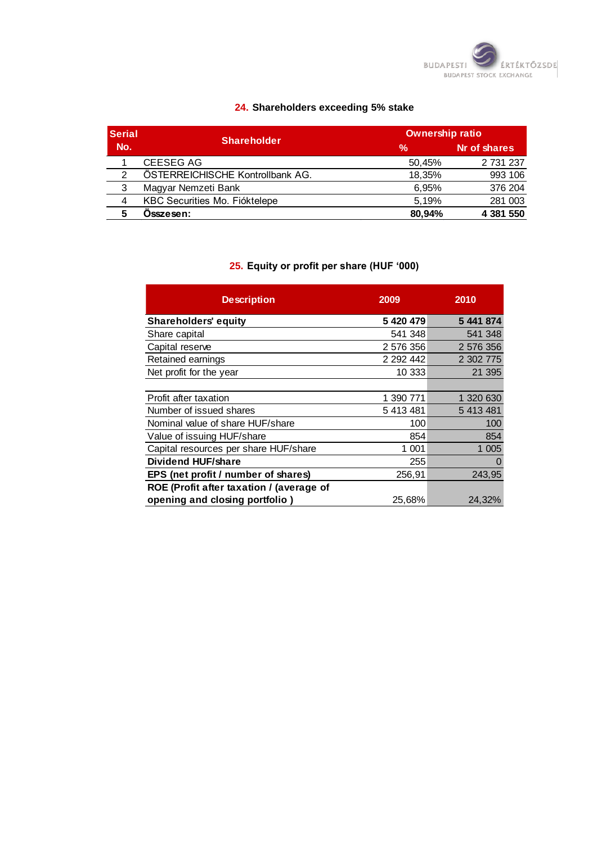

# **24. Shareholders exceeding 5% stake**

| <b>Serial</b> | <b>Shareholder</b>               |        | <b>Ownership ratio</b> |  |  |
|---------------|----------------------------------|--------|------------------------|--|--|
| No.           |                                  | %      | Nr of shares           |  |  |
|               | <b>CEESEG AG</b>                 | 50,45% | 2 731 237              |  |  |
| $\mathcal{P}$ | ÖSTERREICHISCHE Kontrollbank AG. | 18.35% | 993 106                |  |  |
| 3             | Magyar Nemzeti Bank              | 6.95%  | 376 204                |  |  |
| 4             | KBC Securities Mo. Fióktelepe    | 5.19%  | 281 003                |  |  |
|               | Osszesen:                        | 80.94% | 4 381 550              |  |  |

# **25. Equity or profit per share (HUF '000)**

| <b>Description</b>                       | 2009          | 2010      |
|------------------------------------------|---------------|-----------|
| <b>Shareholders' equity</b>              | 5 420 479     | 5 441 874 |
| Share capital                            | 541 348       | 541 348   |
| Capital reserve                          | 2 576 356     | 2 576 356 |
| Retained earnings                        | 2 2 9 2 4 4 2 | 2 302 775 |
| Net profit for the year                  | 10 333        | 21 395    |
|                                          |               |           |
| Profit after taxation                    | 1 390 771     | 1 320 630 |
| Number of issued shares                  | 5 413 481     | 5 413 481 |
| Nominal value of share HUF/share         | 100           | 100       |
| Value of issuing HUF/share               | 854           | 854       |
| Capital resources per share HUF/share    | 1 001         | 1 0 0 5   |
| <b>Dividend HUF/share</b>                | 255           | 0         |
| EPS (net profit / number of shares)      | 256,91        | 243,95    |
| ROE (Profit after taxation / (average of |               |           |
| opening and closing portfolio)           | 25,68%        | 24,32%    |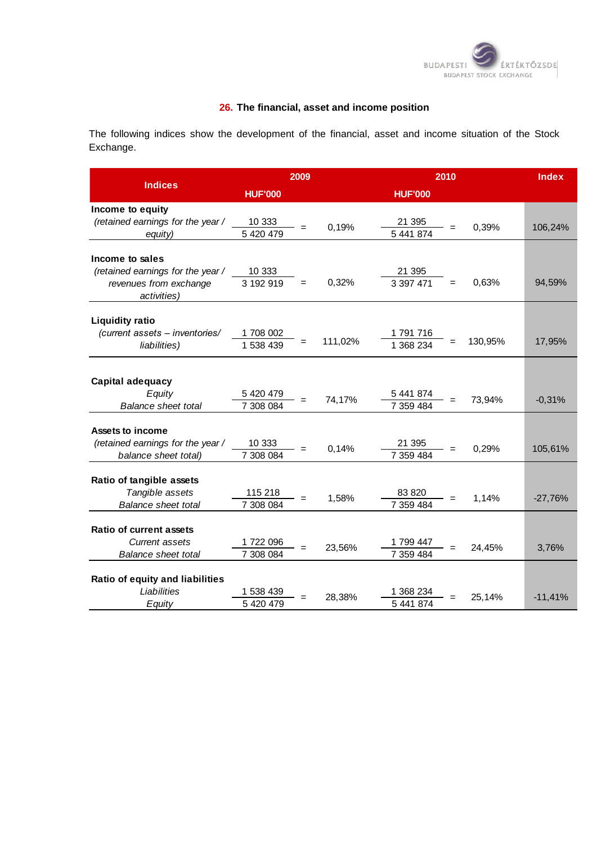

#### **26. The financial, asset and income position**

The following indices show the development of the financial, asset and income situation of the Stock Exchange.

|                                   |                       | 2009 |         | 2010                   |         |           |  |
|-----------------------------------|-----------------------|------|---------|------------------------|---------|-----------|--|
| <b>Indices</b>                    | <b>HUF'000</b>        |      |         | <b>HUF'000</b>         |         |           |  |
| Income to equity                  |                       |      |         |                        |         |           |  |
| (retained earnings for the year / | 10 333                |      |         | 21 395                 |         |           |  |
| equity)                           | 5 420 479             |      | 0,19%   | 5 441 874              | 0,39%   | 106,24%   |  |
| Income to sales                   |                       |      |         |                        |         |           |  |
| (retained earnings for the year / | 10 333                |      |         | 21 395                 |         |           |  |
| revenues from exchange            | 3 192 919             | $=$  | 0,32%   | 3 3 9 7 4 7 1<br>$=$   | 0,63%   | 94,59%    |  |
| activities)                       |                       |      |         |                        |         |           |  |
| <b>Liquidity ratio</b>            |                       |      |         |                        |         |           |  |
| (current assets - inventories/    |                       |      |         |                        |         |           |  |
| liabilities)                      | 1708 002<br>1 538 439 |      | 111,02% | 1 791 716<br>1 368 234 | 130,95% | 17,95%    |  |
|                                   |                       |      |         |                        |         |           |  |
|                                   |                       |      |         |                        |         |           |  |
| Capital adequacy                  |                       |      |         |                        |         |           |  |
| Equity                            | 5 420 479             |      | 74,17%  | 5 441 874              | 73,94%  | $-0,31%$  |  |
| <b>Balance sheet total</b>        | 7 308 084             |      |         | 7 359 484              |         |           |  |
| Assets to income                  |                       |      |         |                        |         |           |  |
| (retained earnings for the year / | 10 333                |      |         | 21 395                 |         |           |  |
| balance sheet total)              | 7 308 084             | $=$  | 0,14%   | 7 359 484              | 0,29%   | 105,61%   |  |
|                                   |                       |      |         |                        |         |           |  |
| Ratio of tangible assets          |                       |      |         |                        |         |           |  |
| Tangible assets                   | 115 218               |      | 1,58%   | 83 820                 | 1,14%   | $-27,76%$ |  |
| <b>Balance sheet total</b>        | 7 308 084             |      |         | 7 359 484              |         |           |  |
| <b>Ratio of current assets</b>    |                       |      |         |                        |         |           |  |
| Current assets                    | 1722 096              |      |         | 1799 447               |         |           |  |
| <b>Balance sheet total</b>        | 7 308 084             |      | 23,56%  | 7 359 484              | 24,45%  | 3,76%     |  |
|                                   |                       |      |         |                        |         |           |  |
| Ratio of equity and liabilities   |                       |      |         |                        |         |           |  |
| Liabilities                       | 1 538 439             |      | 28,38%  | 1 368 234              | 25,14%  | $-11,41%$ |  |
| Equity                            | 5 420 479             |      |         | 5 441 874              |         |           |  |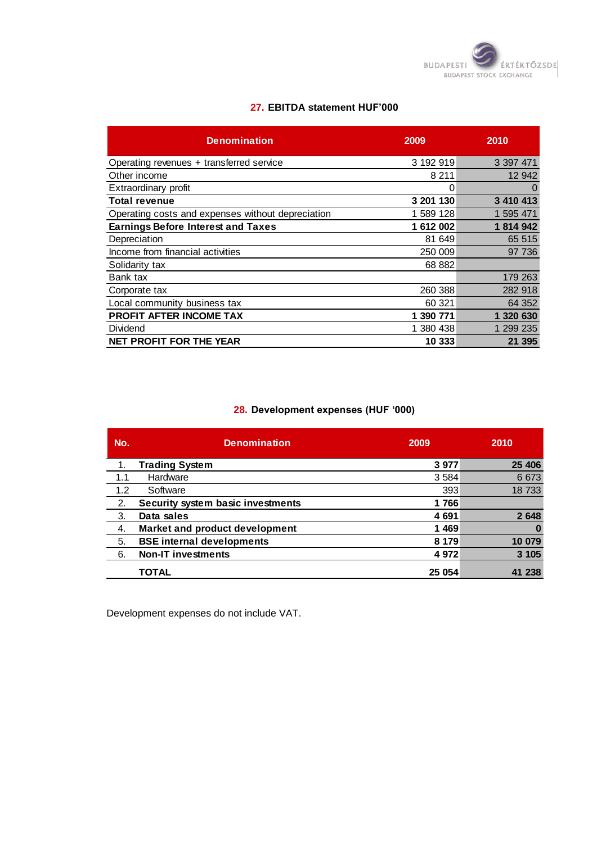

#### **27. EBITDA statement HUF'000**

| <b>Denomination</b>                               | 2009      | 2010      |
|---------------------------------------------------|-----------|-----------|
| Operating revenues + transferred service          | 3 192 919 | 3 397 471 |
| Other income                                      | 8 2 1 1   | 12 942    |
| Extraordinary profit                              | 0         | O         |
| <b>Total revenue</b>                              | 3 201 130 | 3 410 413 |
| Operating costs and expenses without depreciation | 1 589 128 | 1 595 471 |
| <b>Earnings Before Interest and Taxes</b>         | 1 612 002 | 1 814 942 |
| Depreciation                                      | 81 649    | 65 515    |
| Income from financial activities                  | 250 009   | 97 736    |
| Solidarity tax                                    | 68 882    |           |
| Bank tax                                          |           | 179 263   |
| Corporate tax                                     | 260 388   | 282 918   |
| Local community business tax                      | 60 321    | 64 352    |
| PROFIT AFTER INCOME TAX                           | 1 390 771 | 1 320 630 |
| Dividend                                          | 1 380 438 | 1 299 235 |
| <b>NET PROFIT FOR THE YEAR</b>                    | 10 333    | 21 395    |

# **28. Development expenses (HUF '000)**

| No. | <b>Denomination</b>               | 2009    | 2010    |
|-----|-----------------------------------|---------|---------|
| 1.  | <b>Trading System</b>             | 3977    | 25 406  |
| 1.1 | Hardware                          | 3 5 8 4 | 6 6 7 3 |
| 1.2 | Software                          | 393     | 18733   |
| 2.  | Security system basic investments | 1766    |         |
| 3.  | Data sales                        | 4 6 9 1 | 2648    |
| 4.  | Market and product development    | 1469    |         |
| 5.  | <b>BSE internal developments</b>  | 8 1 7 9 | 10 079  |
| 6.  | <b>Non-IT investments</b>         | 4972    | 3 1 0 5 |
|     | <b>TOTAL</b>                      | 25 054  | 238     |

Development expenses do not include VAT.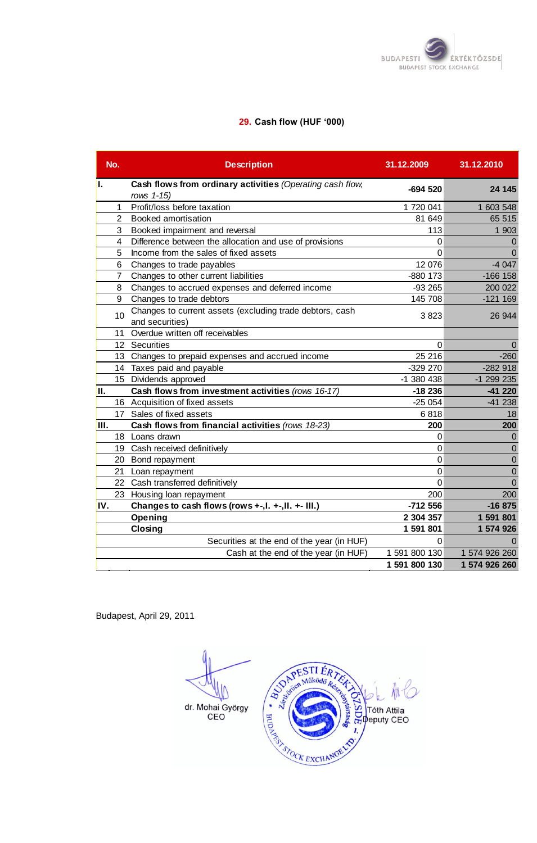

# **29. Cash flow (HUF '000)**

|      | No.          | <b>Description</b>                                        | 31.12.2009    | 31.12.2010    |
|------|--------------|-----------------------------------------------------------|---------------|---------------|
| ı.   |              | Cash flows from ordinary activities (Operating cash flow, | $-694520$     | 24 145        |
|      |              | rows 1-15)                                                |               |               |
|      | $\mathbf 1$  | Profit/loss before taxation                               | 1 720 041     | 1 603 548     |
|      | $\mathbf{2}$ | <b>Booked amortisation</b>                                | 81 649        | 65 515        |
|      | 3            | Booked impairment and reversal                            | 113           | 1 903         |
|      | 4            | Difference between the allocation and use of provisions   | 0             | $\mathbf 0$   |
|      | 5            | Income from the sales of fixed assets                     | 0             | $\Omega$      |
|      | 6            | Changes to trade payables                                 | 12 076        | $-4047$       |
|      | $7^{\circ}$  | Changes to other current liabilities                      | -880 173      | $-166$ 158    |
|      | 8            | Changes to accrued expenses and deferred income           | $-93265$      | 200 022       |
|      | 9            | Changes to trade debtors                                  | 145 708       | $-121169$     |
|      | 10           | Changes to current assets (excluding trade debtors, cash  | 3823          | 26 944        |
|      |              | and securities)                                           |               |               |
|      |              | 11 Overdue written off receivables                        |               |               |
|      |              | 12 Securities                                             | $\Omega$      | $\Omega$      |
|      |              | 13 Changes to prepaid expenses and accrued income         | 25 216        | $-260$        |
|      |              | 14 Taxes paid and payable                                 | -329 270      | $-282918$     |
|      |              | 15 Dividends approved                                     | -1 380 438    | -1 299 235    |
| II.  |              | Cash flows from investment activities (rows 16-17)        | $-18236$      | $-41220$      |
|      |              | 16 Acquisition of fixed assets                            | $-25054$      | $-41238$      |
|      |              | 17 Sales of fixed assets                                  | 6818          | 18            |
| III. |              | Cash flows from financial activities (rows 18-23)         | 200           | 200           |
|      |              | 18 Loans drawn                                            | 0             | $\Omega$      |
|      |              | 19 Cash received definitively                             | 0             | $\mathbf 0$   |
|      |              | 20 Bond repayment                                         | 0             | $\mathbf 0$   |
|      |              | 21 Loan repayment                                         | 0             | $\mathbf 0$   |
|      |              | 22 Cash transferred definitively                          | 0             | $\mathbf 0$   |
|      |              | 23 Housing loan repayment                                 | 200           | 200           |
| IV.  |              | Changes to cash flows (rows +-, l. +-, ll. +- III.)       | $-712556$     | $-16875$      |
|      |              | Opening                                                   | 2 304 357     | 1 591 801     |
|      |              | Closing                                                   | 1 591 801     | 1 574 926     |
|      |              | Securities at the end of the year (in HUF)                | 0             | $\Omega$      |
|      |              | Cash at the end of the year (in HUF)                      | 1 591 800 130 | 1 574 926 260 |
|      |              |                                                           | 1 591 800 130 | 1 574 926 260 |

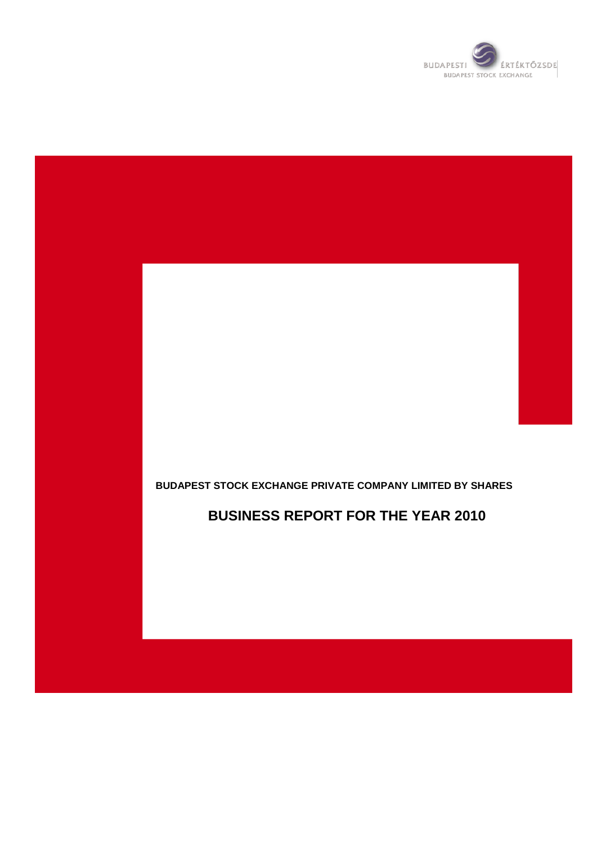

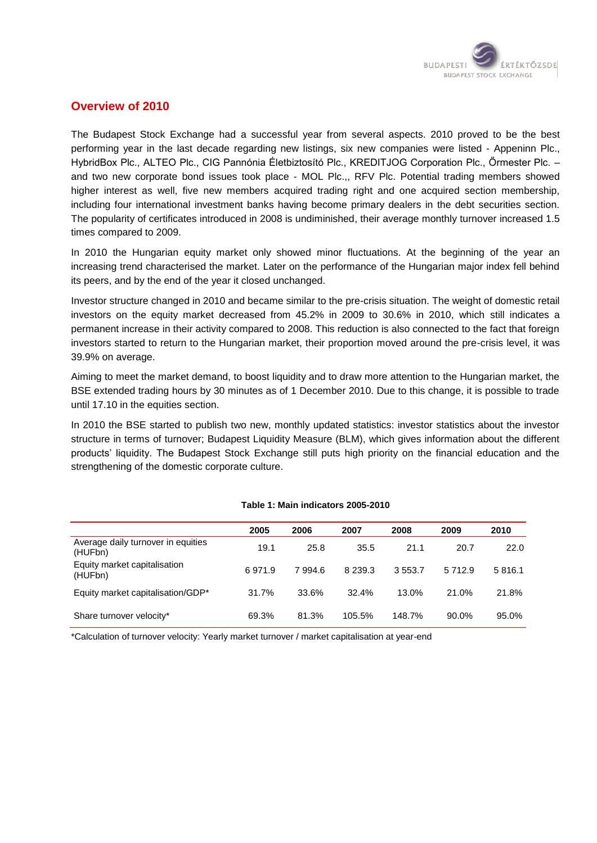

# **Overview of 2010**

The Budapest Stock Exchange had a successful year from several aspects. 2010 proved to be the best performing year in the last decade regarding new listings, six new companies were listed - Appeninn Plc., HybridBox Plc., ALTEO Plc., CIG Pannónia Életbiztosító Plc., KREDITJOG Corporation Plc., Őrmester Plc. – and two new corporate bond issues took place - MOL Plc.,, RFV Plc. Potential trading members showed higher interest as well, five new members acquired trading right and one acquired section membership, including four international investment banks having become primary dealers in the debt securities section. The popularity of certificates introduced in 2008 is undiminished, their average monthly turnover increased 1.5 times compared to 2009.

In 2010 the Hungarian equity market only showed minor fluctuations. At the beginning of the year an increasing trend characterised the market. Later on the performance of the Hungarian major index fell behind its peers, and by the end of the year it closed unchanged.

Investor structure changed in 2010 and became similar to the pre-crisis situation. The weight of domestic retail investors on the equity market decreased from 45.2% in 2009 to 30.6% in 2010, which still indicates a permanent increase in their activity compared to 2008. This reduction is also connected to the fact that foreign investors started to return to the Hungarian market, their proportion moved around the pre-crisis level, it was 39.9% on average.

Aiming to meet the market demand, to boost liquidity and to draw more attention to the Hungarian market, the BSE extended trading hours by 30 minutes as of 1 December 2010. Due to this change, it is possible to trade until 17.10 in the equities section.

In 2010 the BSE started to publish two new, monthly updated statistics: investor statistics about the investor structure in terms of turnover; Budapest Liquidity Measure (BLM), which gives information about the different products" liquidity. The Budapest Stock Exchange still puts high priority on the financial education and the strengthening of the domestic corporate culture.

|                                               | 2005   | 2006   | 2007        | 2008   | 2009     | 2010   |
|-----------------------------------------------|--------|--------|-------------|--------|----------|--------|
| Average daily turnover in equities<br>(HUFbn) | 19.1   | 25.8   | 35.5        | 21.1   | 20.7     | 22.0   |
| Equity market capitalisation<br>(HUFbn)       | 6971.9 | 7994.6 | 8 2 3 9 . 3 | 3553.7 | 5712.9   | 5816.1 |
| Equity market capitalisation/GDP*             | 31.7%  | 33.6%  | 32.4%       | 13.0%  | 21.0%    | 21.8%  |
| Share turnover velocity*                      | 69.3%  | 81.3%  | 105.5%      | 148.7% | $90.0\%$ | 95.0%  |

#### **Table 1: Main indicators 2005-2010**

\*Calculation of turnover velocity: Yearly market turnover / market capitalisation at year-end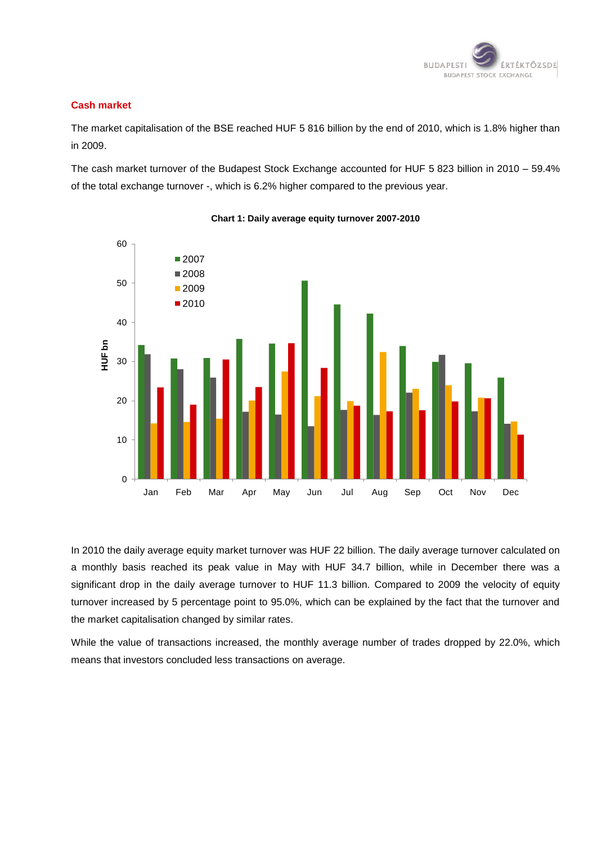

#### **Cash market**

The market capitalisation of the BSE reached HUF 5 816 billion by the end of 2010, which is 1.8% higher than in 2009.

The cash market turnover of the Budapest Stock Exchange accounted for HUF 5 823 billion in 2010 – 59.4% of the total exchange turnover -, which is 6.2% higher compared to the previous year.



#### **Chart 1: Daily average equity turnover 2007-2010**

In 2010 the daily average equity market turnover was HUF 22 billion. The daily average turnover calculated on a monthly basis reached its peak value in May with HUF 34.7 billion, while in December there was a significant drop in the daily average turnover to HUF 11.3 billion. Compared to 2009 the velocity of equity turnover increased by 5 percentage point to 95.0%, which can be explained by the fact that the turnover and the market capitalisation changed by similar rates.

While the value of transactions increased, the monthly average number of trades dropped by 22.0%, which means that investors concluded less transactions on average.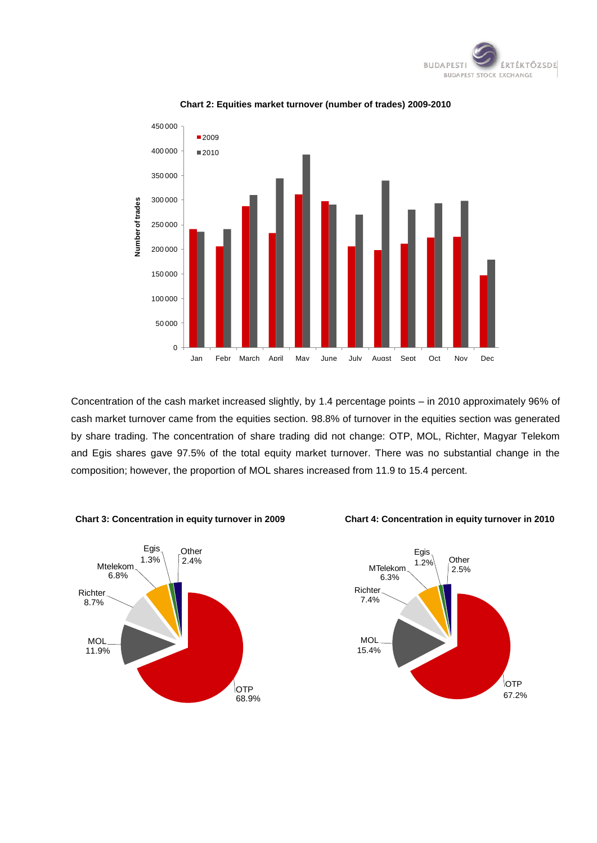



#### **Chart 2: Equities market turnover (number of trades) 2009-2010**

Concentration of the cash market increased slightly, by 1.4 percentage points – in 2010 approximately 96% of cash market turnover came from the equities section. 98.8% of turnover in the equities section was generated by share trading. The concentration of share trading did not change: OTP, MOL, Richter, Magyar Telekom and Egis shares gave 97.5% of the total equity market turnover. There was no substantial change in the composition; however, the proportion of MOL shares increased from 11.9 to 15.4 percent.



#### **Chart 3: Concentration in equity turnover in 2009 Chart 4: Concentration in equity turnover in 2010**

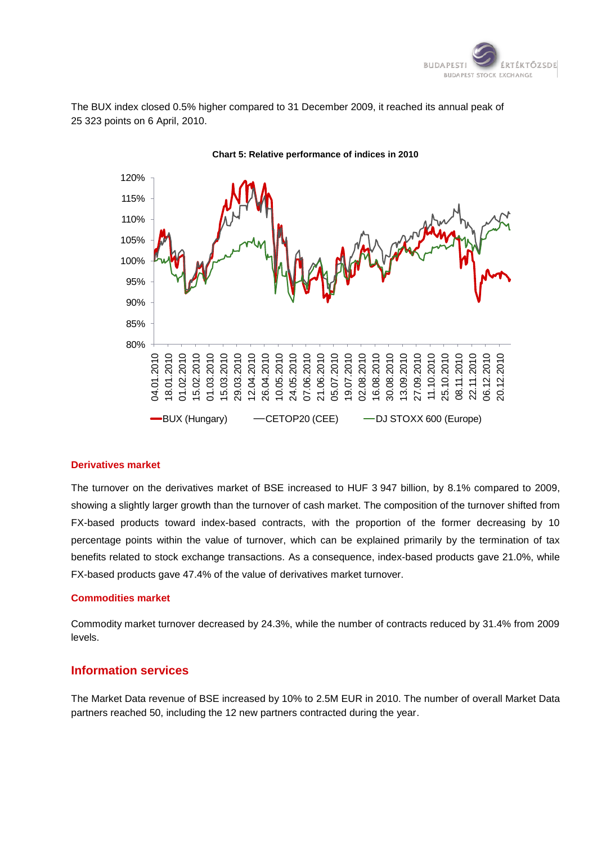

The BUX index closed 0.5% higher compared to 31 December 2009, it reached its annual peak of 25 323 points on 6 April, 2010.



#### **Chart 5: Relative performance of indices in 2010**

#### **Derivatives market**

The turnover on the derivatives market of BSE increased to HUF 3 947 billion, by 8.1% compared to 2009, showing a slightly larger growth than the turnover of cash market. The composition of the turnover shifted from FX-based products toward index-based contracts, with the proportion of the former decreasing by 10 percentage points within the value of turnover, which can be explained primarily by the termination of tax benefits related to stock exchange transactions. As a consequence, index-based products gave 21.0%, while FX-based products gave 47.4% of the value of derivatives market turnover.

#### **Commodities market**

Commodity market turnover decreased by 24.3%, while the number of contracts reduced by 31.4% from 2009 levels.

#### **Information services**

The Market Data revenue of BSE increased by 10% to 2.5M EUR in 2010. The number of overall Market Data partners reached 50, including the 12 new partners contracted during the year.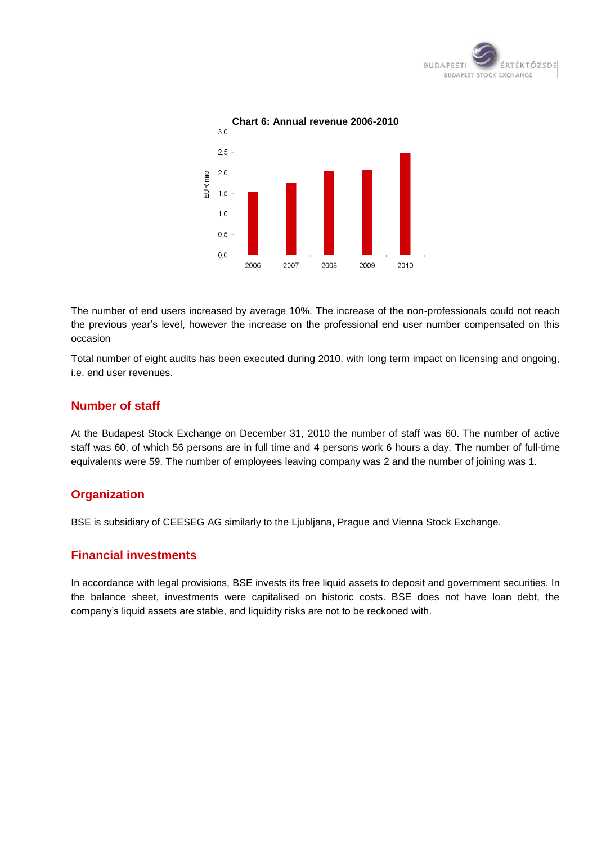



The number of end users increased by average 10%. The increase of the non-professionals could not reach the previous year"s level, however the increase on the professional end user number compensated on this occasion

Total number of eight audits has been executed during 2010, with long term impact on licensing and ongoing, i.e. end user revenues.

# **Number of staff**

At the Budapest Stock Exchange on December 31, 2010 the number of staff was 60. The number of active staff was 60, of which 56 persons are in full time and 4 persons work 6 hours a day. The number of full-time equivalents were 59. The number of employees leaving company was 2 and the number of joining was 1.

# **Organization**

BSE is subsidiary of CEESEG AG similarly to the Ljubljana, Prague and Vienna Stock Exchange.

# **Financial investments**

In accordance with legal provisions, BSE invests its free liquid assets to deposit and government securities. In the balance sheet, investments were capitalised on historic costs. BSE does not have loan debt, the company"s liquid assets are stable, and liquidity risks are not to be reckoned with.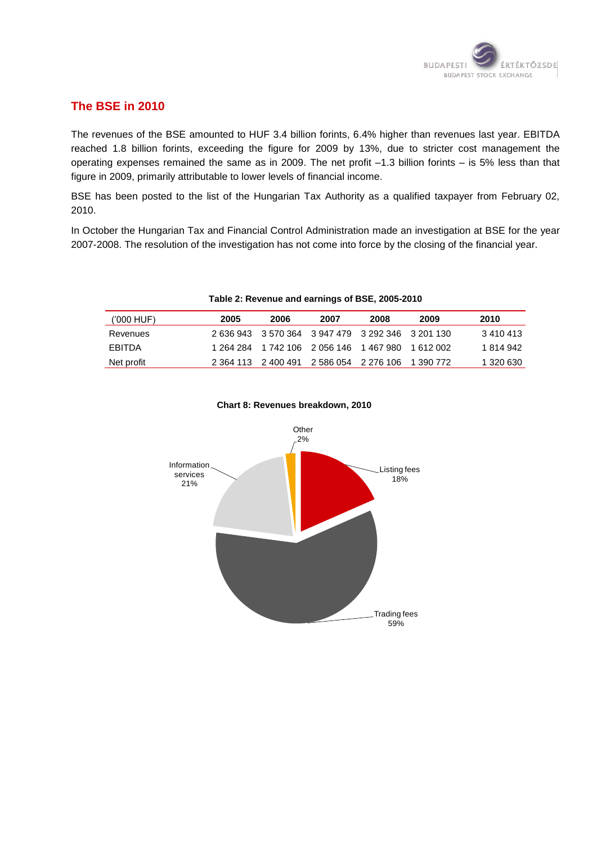

# **The BSE in 2010**

The revenues of the BSE amounted to HUF 3.4 billion forints, 6.4% higher than revenues last year. EBITDA reached 1.8 billion forints, exceeding the figure for 2009 by 13%, due to stricter cost management the operating expenses remained the same as in 2009. The net profit –1.3 billion forints – is 5% less than that figure in 2009, primarily attributable to lower levels of financial income.

BSE has been posted to the list of the Hungarian Tax Authority as a qualified taxpayer from February 02, 2010.

In October the Hungarian Tax and Financial Control Administration made an investigation at BSE for the year 2007-2008. The resolution of the investigation has not come into force by the closing of the financial year.

| ('000 HUF)    | 2005 | 2006 | 2007                                              | 2008 | 2009 | 2010      |
|---------------|------|------|---------------------------------------------------|------|------|-----------|
| Revenues      |      |      | 2 636 943 3 570 364 3 947 479 3 292 346 3 201 130 |      |      | 3 410 413 |
| <b>FBITDA</b> |      |      | 1 264 284 1 742 106 2 056 146 1 467 980 1 612 002 |      |      | 1 814 942 |
| Net profit    |      |      | 2 364 113 2 400 491 2 586 054 2 276 106 1 390 772 |      |      | 1 320 630 |

**Table 2: Revenue and earnings of BSE, 2005-2010**



#### **Chart 8: Revenues breakdown, 2010**